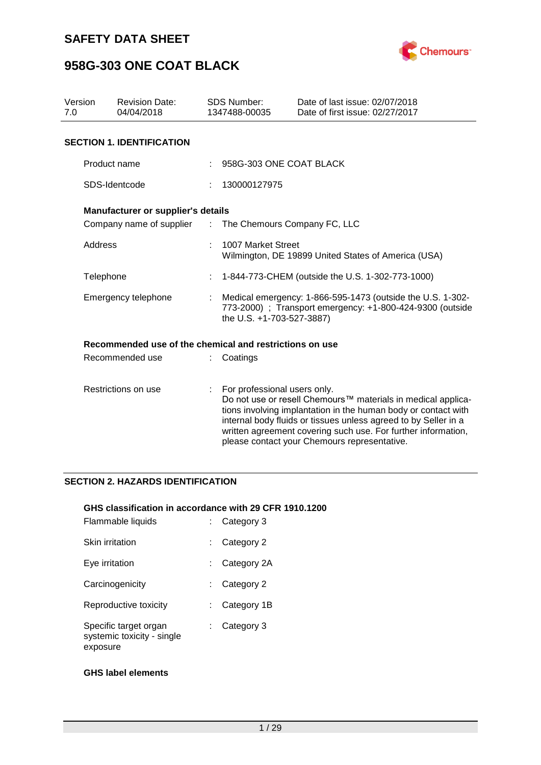



| Version<br>7.0 | <b>Revision Date:</b><br>04/04/2018                     |    | <b>SDS Number:</b><br>1347488-00035 | Date of last issue: 02/07/2018<br>Date of first issue: 02/27/2017                                                                                                                                                                                                                                                  |
|----------------|---------------------------------------------------------|----|-------------------------------------|--------------------------------------------------------------------------------------------------------------------------------------------------------------------------------------------------------------------------------------------------------------------------------------------------------------------|
|                | <b>SECTION 1. IDENTIFICATION</b>                        |    |                                     |                                                                                                                                                                                                                                                                                                                    |
|                | Product name                                            |    | 958G-303 ONE COAT BLACK             |                                                                                                                                                                                                                                                                                                                    |
|                | SDS-Identcode                                           |    | 130000127975                        |                                                                                                                                                                                                                                                                                                                    |
|                | Manufacturer or supplier's details                      |    |                                     |                                                                                                                                                                                                                                                                                                                    |
|                | Company name of supplier :                              |    | The Chemours Company FC, LLC        |                                                                                                                                                                                                                                                                                                                    |
| Address        |                                                         |    | 1007 Market Street                  | Wilmington, DE 19899 United States of America (USA)                                                                                                                                                                                                                                                                |
|                | Telephone                                               | ÷  |                                     | 1-844-773-CHEM (outside the U.S. 1-302-773-1000)                                                                                                                                                                                                                                                                   |
|                | Emergency telephone                                     |    | the U.S. +1-703-527-3887)           | Medical emergency: 1-866-595-1473 (outside the U.S. 1-302-<br>773-2000) ; Transport emergency: +1-800-424-9300 (outside                                                                                                                                                                                            |
|                | Recommended use of the chemical and restrictions on use |    |                                     |                                                                                                                                                                                                                                                                                                                    |
|                | Recommended use                                         |    | Coatings                            |                                                                                                                                                                                                                                                                                                                    |
|                | Restrictions on use                                     | ÷. | For professional users only.        | Do not use or resell Chemours™ materials in medical applica-<br>tions involving implantation in the human body or contact with<br>internal body fluids or tissues unless agreed to by Seller in a<br>written agreement covering such use. For further information,<br>please contact your Chemours representative. |

### **SECTION 2. HAZARDS IDENTIFICATION**

#### **GHS classification in accordance with 29 CFR 1910.1200**

| Flammable liquids                                               | Category 3  |
|-----------------------------------------------------------------|-------------|
| Skin irritation                                                 | Category 2  |
| Eve irritation                                                  | Category 2A |
| Carcinogenicity                                                 | Category 2  |
| Reproductive toxicity                                           | Category 1B |
| Specific target organ<br>systemic toxicity - single<br>exposure | Category 3  |

### **GHS label elements**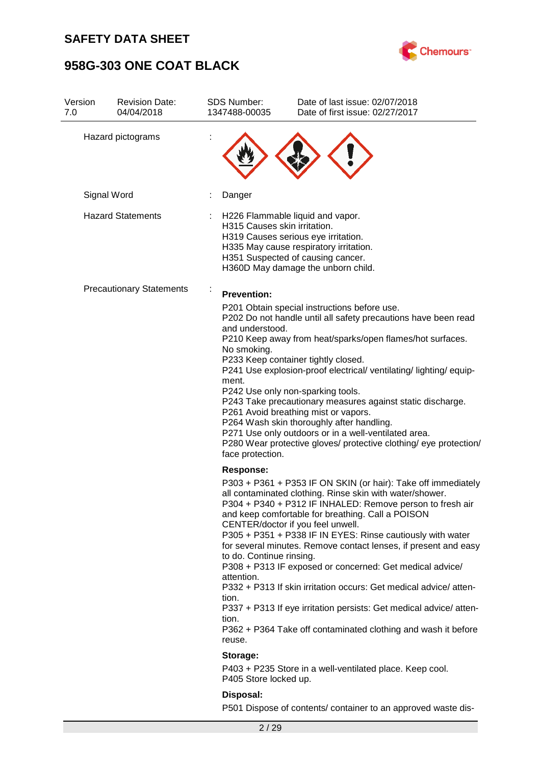

| Version<br>7.0 | <b>Revision Date:</b><br>04/04/2018 | <b>SDS Number:</b><br>1347488-00035                                                    | Date of last issue: 02/07/2018<br>Date of first issue: 02/27/2017                                                                                                                                                                                                                                                                                                                                                                                                                                                                                                                                                                                                                       |
|----------------|-------------------------------------|----------------------------------------------------------------------------------------|-----------------------------------------------------------------------------------------------------------------------------------------------------------------------------------------------------------------------------------------------------------------------------------------------------------------------------------------------------------------------------------------------------------------------------------------------------------------------------------------------------------------------------------------------------------------------------------------------------------------------------------------------------------------------------------------|
|                | Hazard pictograms                   |                                                                                        |                                                                                                                                                                                                                                                                                                                                                                                                                                                                                                                                                                                                                                                                                         |
|                | Signal Word                         | Danger                                                                                 |                                                                                                                                                                                                                                                                                                                                                                                                                                                                                                                                                                                                                                                                                         |
|                | <b>Hazard Statements</b>            | H315 Causes skin irritation.                                                           | H226 Flammable liquid and vapor.<br>H319 Causes serious eye irritation.<br>H335 May cause respiratory irritation.<br>H351 Suspected of causing cancer.<br>H360D May damage the unborn child.                                                                                                                                                                                                                                                                                                                                                                                                                                                                                            |
|                | <b>Precautionary Statements</b>     | <b>Prevention:</b><br>and understood.<br>No smoking.<br>ment.<br>face protection.      | P201 Obtain special instructions before use.<br>P202 Do not handle until all safety precautions have been read<br>P210 Keep away from heat/sparks/open flames/hot surfaces.<br>P233 Keep container tightly closed.<br>P241 Use explosion-proof electrical/ ventilating/ lighting/ equip-<br>P242 Use only non-sparking tools.<br>P243 Take precautionary measures against static discharge.<br>P261 Avoid breathing mist or vapors.<br>P264 Wash skin thoroughly after handling.<br>P271 Use only outdoors or in a well-ventilated area.<br>P280 Wear protective gloves/ protective clothing/ eye protection/                                                                           |
|                |                                     | <b>Response:</b><br>to do. Continue rinsing.<br>attention.<br>tion.<br>tion.<br>reuse. | P303 + P361 + P353 IF ON SKIN (or hair): Take off immediately<br>all contaminated clothing. Rinse skin with water/shower.<br>P304 + P340 + P312 IF INHALED: Remove person to fresh air<br>and keep comfortable for breathing. Call a POISON<br>CENTER/doctor if you feel unwell.<br>P305 + P351 + P338 IF IN EYES: Rinse cautiously with water<br>for several minutes. Remove contact lenses, if present and easy<br>P308 + P313 IF exposed or concerned: Get medical advice/<br>P332 + P313 If skin irritation occurs: Get medical advice/atten-<br>P337 + P313 If eye irritation persists: Get medical advice/atten-<br>P362 + P364 Take off contaminated clothing and wash it before |
|                |                                     | Storage:<br>P405 Store locked up.                                                      | P403 + P235 Store in a well-ventilated place. Keep cool.                                                                                                                                                                                                                                                                                                                                                                                                                                                                                                                                                                                                                                |
|                |                                     | Disposal:                                                                              | P501 Dispose of contents/ container to an approved waste dis-                                                                                                                                                                                                                                                                                                                                                                                                                                                                                                                                                                                                                           |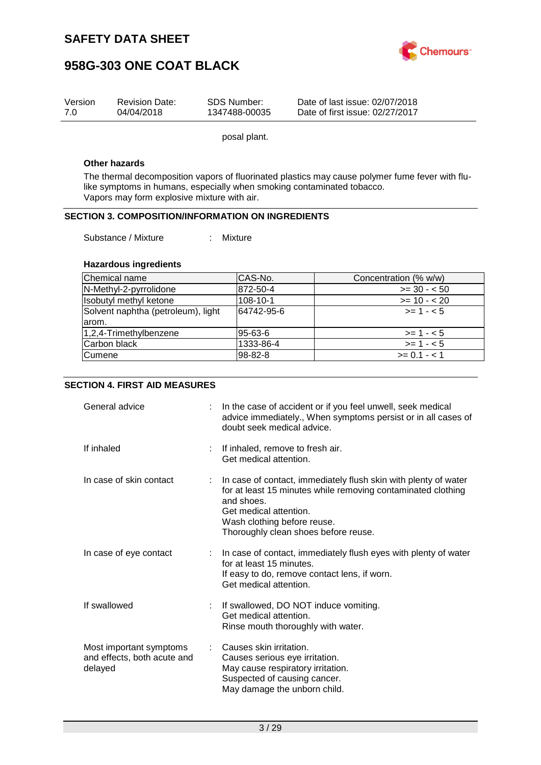

| Version | <b>Revision Date:</b> | SDS Number:   | Date of last issue: 02/07/2018  |
|---------|-----------------------|---------------|---------------------------------|
| 7.0     | 04/04/2018            | 1347488-00035 | Date of first issue: 02/27/2017 |

posal plant.

#### **Other hazards**

The thermal decomposition vapors of fluorinated plastics may cause polymer fume fever with flulike symptoms in humans, especially when smoking contaminated tobacco. Vapors may form explosive mixture with air.

### **SECTION 3. COMPOSITION/INFORMATION ON INGREDIENTS**

Substance / Mixture : Mixture

#### **Hazardous ingredients**

| Chemical name                      | CAS-No.    | Concentration (% w/w) |
|------------------------------------|------------|-----------------------|
| N-Methyl-2-pyrrolidone             | 872-50-4   | $>= 30 - 50$          |
| Isobutyl methyl ketone             | 108-10-1   | $>= 10 - 20$          |
| Solvent naphtha (petroleum), light | 64742-95-6 | $>= 1 - 5$            |
| larom.                             |            |                       |
| 1,2,4-Trimethylbenzene             | 95-63-6    | $>= 1 - 5$            |
| Carbon black                       | 1333-86-4  | $>= 1 - 5$            |
| <b>Cumene</b>                      | 98-82-8    | $>= 0.1 - 1.1$        |

#### **SECTION 4. FIRST AID MEASURES**

| General advice                                                    | In the case of accident or if you feel unwell, seek medical<br>advice immediately., When symptoms persist or in all cases of<br>doubt seek medical advice.                                                                                     |
|-------------------------------------------------------------------|------------------------------------------------------------------------------------------------------------------------------------------------------------------------------------------------------------------------------------------------|
| If inhaled                                                        | If inhaled, remove to fresh air.<br>Get medical attention.                                                                                                                                                                                     |
| In case of skin contact                                           | In case of contact, immediately flush skin with plenty of water<br>for at least 15 minutes while removing contaminated clothing<br>and shoes.<br>Get medical attention.<br>Wash clothing before reuse.<br>Thoroughly clean shoes before reuse. |
| In case of eye contact                                            | In case of contact, immediately flush eyes with plenty of water<br>for at least 15 minutes.<br>If easy to do, remove contact lens, if worn.<br>Get medical attention.                                                                          |
| If swallowed                                                      | If swallowed, DO NOT induce vomiting.<br>Get medical attention.<br>Rinse mouth thoroughly with water.                                                                                                                                          |
| Most important symptoms<br>and effects, both acute and<br>delayed | Causes skin irritation.<br>Causes serious eye irritation.<br>May cause respiratory irritation.<br>Suspected of causing cancer.<br>May damage the unborn child.                                                                                 |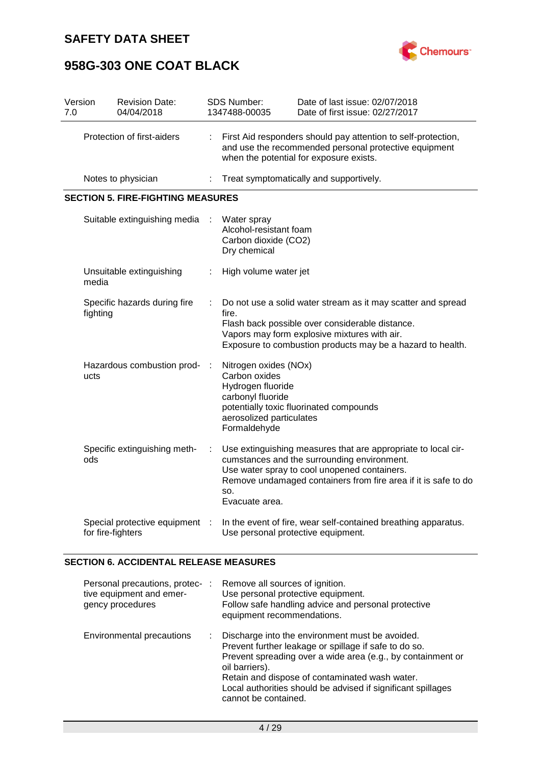

# **958G-303 ONE COAT BLACK**

| Version<br>7.0             |                   | <b>Revision Date:</b><br>04/04/2018      |                                                                                                                                                                   | <b>SDS Number:</b><br>1347488-00035                                                                                          | Date of last issue: 02/07/2018<br>Date of first issue: 02/27/2017                                                                                                                                                              |  |  |  |
|----------------------------|-------------------|------------------------------------------|-------------------------------------------------------------------------------------------------------------------------------------------------------------------|------------------------------------------------------------------------------------------------------------------------------|--------------------------------------------------------------------------------------------------------------------------------------------------------------------------------------------------------------------------------|--|--|--|
| Protection of first-aiders |                   | ÷                                        | First Aid responders should pay attention to self-protection,<br>and use the recommended personal protective equipment<br>when the potential for exposure exists. |                                                                                                                              |                                                                                                                                                                                                                                |  |  |  |
|                            |                   | Notes to physician                       |                                                                                                                                                                   |                                                                                                                              | Treat symptomatically and supportively.                                                                                                                                                                                        |  |  |  |
|                            |                   | <b>SECTION 5. FIRE-FIGHTING MEASURES</b> |                                                                                                                                                                   |                                                                                                                              |                                                                                                                                                                                                                                |  |  |  |
|                            |                   | Suitable extinguishing media             |                                                                                                                                                                   | Water spray<br>Alcohol-resistant foam<br>Carbon dioxide (CO2)<br>Dry chemical                                                |                                                                                                                                                                                                                                |  |  |  |
|                            | media             | Unsuitable extinguishing                 |                                                                                                                                                                   | High volume water jet                                                                                                        |                                                                                                                                                                                                                                |  |  |  |
|                            | fighting          | Specific hazards during fire             |                                                                                                                                                                   | fire.                                                                                                                        | Do not use a solid water stream as it may scatter and spread<br>Flash back possible over considerable distance.<br>Vapors may form explosive mixtures with air.<br>Exposure to combustion products may be a hazard to health.  |  |  |  |
|                            | ucts              | Hazardous combustion prod-               |                                                                                                                                                                   | Nitrogen oxides (NOx)<br>Carbon oxides<br>Hydrogen fluoride<br>carbonyl fluoride<br>aerosolized particulates<br>Formaldehyde | potentially toxic fluorinated compounds                                                                                                                                                                                        |  |  |  |
|                            | ods               | Specific extinguishing meth-             |                                                                                                                                                                   | SO.<br>Evacuate area.                                                                                                        | Use extinguishing measures that are appropriate to local cir-<br>cumstances and the surrounding environment.<br>Use water spray to cool unopened containers.<br>Remove undamaged containers from fire area if it is safe to do |  |  |  |
|                            | for fire-fighters | Special protective equipment             |                                                                                                                                                                   | Use personal protective equipment.                                                                                           | In the event of fire, wear self-contained breathing apparatus.                                                                                                                                                                 |  |  |  |

### **SECTION 6. ACCIDENTAL RELEASE MEASURES**

| Personal precautions, protec-   | Remove all sources of ignition.                                                                                                                                                                                                                                                                                                     |
|---------------------------------|-------------------------------------------------------------------------------------------------------------------------------------------------------------------------------------------------------------------------------------------------------------------------------------------------------------------------------------|
| ÷                               | Use personal protective equipment.                                                                                                                                                                                                                                                                                                  |
| tive equipment and emer-        | Follow safe handling advice and personal protective                                                                                                                                                                                                                                                                                 |
| gency procedures                | equipment recommendations.                                                                                                                                                                                                                                                                                                          |
| Environmental precautions<br>t. | Discharge into the environment must be avoided.<br>Prevent further leakage or spillage if safe to do so.<br>Prevent spreading over a wide area (e.g., by containment or<br>oil barriers).<br>Retain and dispose of contaminated wash water.<br>Local authorities should be advised if significant spillages<br>cannot be contained. |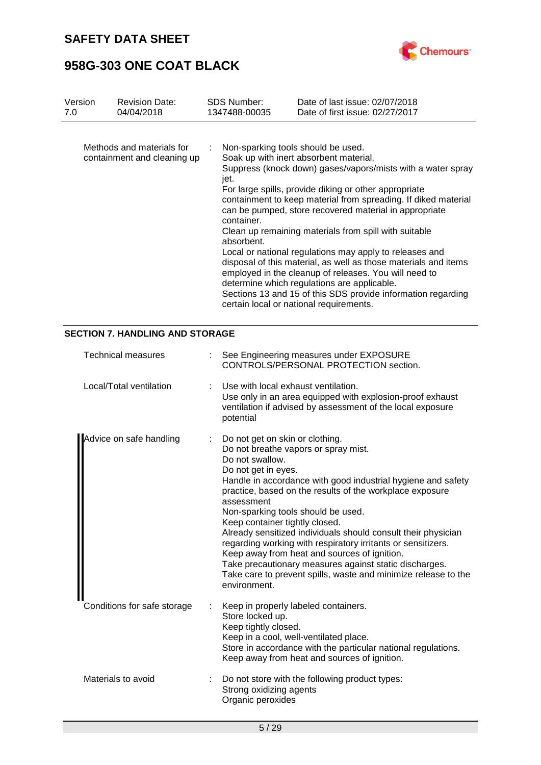

## **958G-303 ONE COAT BLACK**

| Version | <b>Revision Date:</b>                                    | <b>SDS Number:</b>                                                     | Date of last issue: 02/07/2018                                                                                                                                                                                                                                                                                                                                                                                                                                                                                                                                                                                                                                                                       |
|---------|----------------------------------------------------------|------------------------------------------------------------------------|------------------------------------------------------------------------------------------------------------------------------------------------------------------------------------------------------------------------------------------------------------------------------------------------------------------------------------------------------------------------------------------------------------------------------------------------------------------------------------------------------------------------------------------------------------------------------------------------------------------------------------------------------------------------------------------------------|
| 7.0     | 04/04/2018                                               | 1347488-00035                                                          | Date of first issue: 02/27/2017                                                                                                                                                                                                                                                                                                                                                                                                                                                                                                                                                                                                                                                                      |
|         | Methods and materials for<br>containment and cleaning up | Non-sparking tools should be used.<br>jet.<br>container.<br>absorbent. | Soak up with inert absorbent material.<br>Suppress (knock down) gases/vapors/mists with a water spray<br>For large spills, provide diking or other appropriate<br>containment to keep material from spreading. If diked material<br>can be pumped, store recovered material in appropriate<br>Clean up remaining materials from spill with suitable<br>Local or national regulations may apply to releases and<br>disposal of this material, as well as those materials and items<br>employed in the cleanup of releases. You will need to<br>determine which regulations are applicable.<br>Sections 13 and 15 of this SDS provide information regarding<br>certain local or national requirements. |

### **SECTION 7. HANDLING AND STORAGE**

| <b>Technical measures</b>   | : See Engineering measures under EXPOSURE<br>CONTROLS/PERSONAL PROTECTION section.                                                                                                                                                                                                                                                                                                                                                                                                                                                                                                                                                                               |
|-----------------------------|------------------------------------------------------------------------------------------------------------------------------------------------------------------------------------------------------------------------------------------------------------------------------------------------------------------------------------------------------------------------------------------------------------------------------------------------------------------------------------------------------------------------------------------------------------------------------------------------------------------------------------------------------------------|
| Local/Total ventilation     | Use with local exhaust ventilation.<br>Use only in an area equipped with explosion-proof exhaust<br>ventilation if advised by assessment of the local exposure<br>potential                                                                                                                                                                                                                                                                                                                                                                                                                                                                                      |
| Advice on safe handling     | Do not get on skin or clothing.<br>Do not breathe vapors or spray mist.<br>Do not swallow.<br>Do not get in eyes.<br>Handle in accordance with good industrial hygiene and safety<br>practice, based on the results of the workplace exposure<br>assessment<br>Non-sparking tools should be used.<br>Keep container tightly closed.<br>Already sensitized individuals should consult their physician<br>regarding working with respiratory irritants or sensitizers.<br>Keep away from heat and sources of ignition.<br>Take precautionary measures against static discharges.<br>Take care to prevent spills, waste and minimize release to the<br>environment. |
| Conditions for safe storage | Keep in properly labeled containers.<br>Store locked up.<br>Keep tightly closed.<br>Keep in a cool, well-ventilated place.<br>Store in accordance with the particular national regulations.<br>Keep away from heat and sources of ignition.                                                                                                                                                                                                                                                                                                                                                                                                                      |
| Materials to avoid          | Do not store with the following product types:<br>Strong oxidizing agents<br>Organic peroxides                                                                                                                                                                                                                                                                                                                                                                                                                                                                                                                                                                   |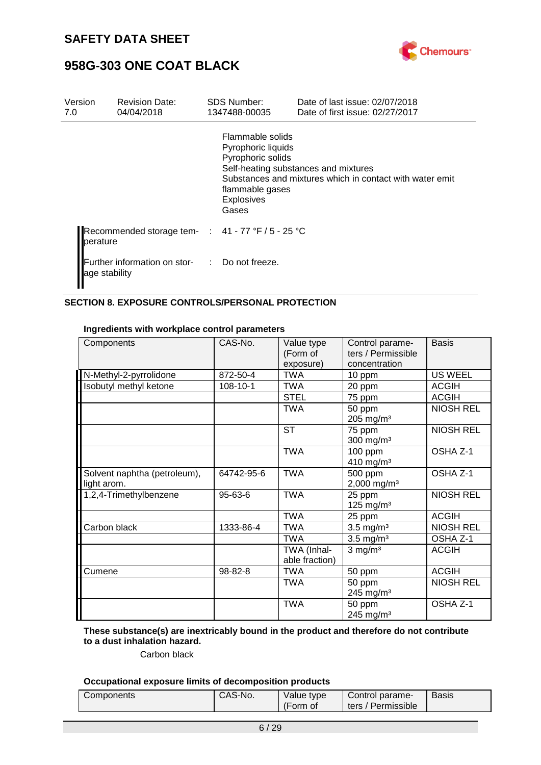



| Version<br>7.0 | <b>Revision Date:</b><br>04/04/2018               | <b>SDS Number:</b><br>1347488-00035                                                                          | Date of last issue: 02/07/2018<br>Date of first issue: 02/27/2017                                |
|----------------|---------------------------------------------------|--------------------------------------------------------------------------------------------------------------|--------------------------------------------------------------------------------------------------|
|                |                                                   | Flammable solids<br>Pyrophoric liquids<br>Pyrophoric solids<br>flammable gases<br><b>Explosives</b><br>Gases | Self-heating substances and mixtures<br>Substances and mixtures which in contact with water emit |
| perature       | Recommended storage tem- : 41 - 77 °F / 5 - 25 °C |                                                                                                              |                                                                                                  |
| age stability  | Further information on stor- : Do not freeze.     |                                                                                                              |                                                                                                  |

### **SECTION 8. EXPOSURE CONTROLS/PERSONAL PROTECTION**

| Components                                  | CAS-No.    | Value type<br>(Form of<br>exposure) | Control parame-<br>ters / Permissible<br>concentration | <b>Basis</b>     |
|---------------------------------------------|------------|-------------------------------------|--------------------------------------------------------|------------------|
| N-Methyl-2-pyrrolidone                      | 872-50-4   | <b>TWA</b>                          | 10 ppm                                                 | <b>US WEEL</b>   |
| Isobutyl methyl ketone                      | 108-10-1   | <b>TWA</b>                          | 20 ppm                                                 | <b>ACGIH</b>     |
|                                             |            | <b>STEL</b>                         | 75 ppm                                                 | <b>ACGIH</b>     |
|                                             |            | <b>TWA</b>                          | 50 ppm<br>$205$ mg/m <sup>3</sup>                      | <b>NIOSH REL</b> |
|                                             |            | <b>ST</b>                           | 75 ppm<br>$300$ mg/m <sup>3</sup>                      | <b>NIOSH REL</b> |
|                                             |            | <b>TWA</b>                          | 100 ppm<br>410 mg/m <sup>3</sup>                       | OSHA Z-1         |
| Solvent naphtha (petroleum),<br>light arom. | 64742-95-6 | <b>TWA</b>                          | 500 ppm<br>2,000 mg/m <sup>3</sup>                     | OSHA Z-1         |
| 1,2,4-Trimethylbenzene                      | 95-63-6    | <b>TWA</b>                          | 25 ppm<br>125 mg/m $3$                                 | <b>NIOSH REL</b> |
|                                             |            | <b>TWA</b>                          | 25 ppm                                                 | <b>ACGIH</b>     |
| Carbon black                                | 1333-86-4  | <b>TWA</b>                          | $3.5 \text{ mg/m}^3$                                   | <b>NIOSH REL</b> |
|                                             |            | <b>TWA</b>                          | $3.5$ mg/m <sup>3</sup>                                | OSHA Z-1         |
|                                             |            | TWA (Inhal-<br>able fraction)       | $3$ mg/m <sup>3</sup>                                  | <b>ACGIH</b>     |
| Cumene                                      | 98-82-8    | <b>TWA</b>                          | 50 ppm                                                 | <b>ACGIH</b>     |
|                                             |            | <b>TWA</b>                          | 50 ppm<br>245 mg/m <sup>3</sup>                        | <b>NIOSH REL</b> |
|                                             |            | <b>TWA</b>                          | 50 ppm<br>245 mg/m <sup>3</sup>                        | OSHA Z-1         |

#### **Ingredients with workplace control parameters**

**These substance(s) are inextricably bound in the product and therefore do not contribute to a dust inhalation hazard.**

### Carbon black

### **Occupational exposure limits of decomposition products**

| Components | CAS-No. | Value type | Control parame-    | <b>Basis</b> |
|------------|---------|------------|--------------------|--------------|
|            |         | (Form of   | ters / Permissible |              |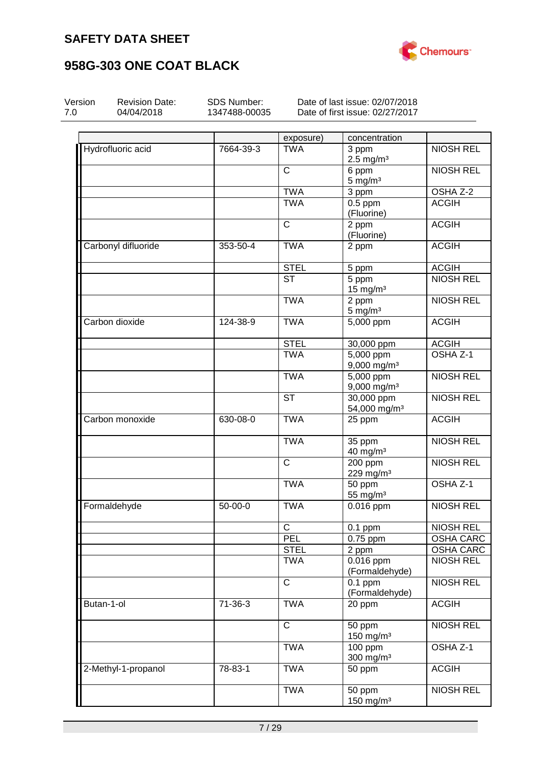

| Version | <b>Revision Date:</b><br>04/04/2018 | SDS Number:<br>1347488-00035 |                        | Date of last issue: 02/07/2018<br>Date of first issue: 02/27/2017 |                  |
|---------|-------------------------------------|------------------------------|------------------------|-------------------------------------------------------------------|------------------|
|         |                                     |                              |                        |                                                                   |                  |
|         |                                     |                              | exposure)              | concentration                                                     |                  |
|         | Hydrofluoric acid                   | 7664-39-3                    | <b>TWA</b>             | 3 ppm<br>$2.5$ mg/m <sup>3</sup>                                  | <b>NIOSH REL</b> |
|         |                                     |                              | C                      | 6 ppm<br>$5 \text{ mg/m}^3$                                       | <b>NIOSH REL</b> |
|         |                                     |                              | <b>TWA</b>             | 3 ppm                                                             | OSHA Z-2         |
|         |                                     |                              | <b>TWA</b>             | $0.5$ ppm<br>(Fluorine)                                           | <b>ACGIH</b>     |
|         |                                     |                              | $\mathsf{C}$           | 2 ppm<br>(Fluorine)                                               | <b>ACGIH</b>     |
|         | Carbonyl difluoride                 | 353-50-4                     | <b>TWA</b>             | 2 ppm                                                             | <b>ACGIH</b>     |
|         |                                     |                              | <b>STEL</b>            | 5 ppm                                                             | <b>ACGIH</b>     |
|         |                                     |                              | $\overline{\text{ST}}$ | 5 ppm<br>$15$ mg/m <sup>3</sup>                                   | <b>NIOSH REL</b> |
|         |                                     |                              | <b>TWA</b>             | 2 ppm<br>$5$ mg/m $3$                                             | <b>NIOSH REL</b> |
|         | Carbon dioxide                      | 124-38-9                     | <b>TWA</b>             | 5,000 ppm                                                         | <b>ACGIH</b>     |
|         |                                     |                              | <b>STEL</b>            | 30,000 ppm                                                        | <b>ACGIH</b>     |
|         |                                     |                              | <b>TWA</b>             | $5,000$ ppm<br>9,000 mg/m <sup>3</sup>                            | OSHA Z-1         |
|         |                                     |                              | <b>TWA</b>             | 5,000 ppm<br>9,000 mg/m <sup>3</sup>                              | <b>NIOSH REL</b> |
|         |                                     |                              | <b>ST</b>              | 30,000 ppm<br>54,000 mg/m <sup>3</sup>                            | <b>NIOSH REL</b> |
|         | Carbon monoxide                     | 630-08-0                     | <b>TWA</b>             | 25 ppm                                                            | <b>ACGIH</b>     |
|         |                                     |                              | <b>TWA</b>             | 35 ppm<br>$40$ mg/m <sup>3</sup>                                  | <b>NIOSH REL</b> |
|         |                                     |                              | C                      | 200 ppm<br>229 mg/m <sup>3</sup>                                  | <b>NIOSH REL</b> |
|         |                                     |                              | <b>TWA</b>             | 50 ppm<br>55 mg/ $m3$                                             | OSHA Z-1         |
|         | Formaldehyde                        | 50-00-0                      | <b>TWA</b>             | 0.016 ppm                                                         | <b>NIOSH REL</b> |
|         |                                     |                              | $\mathsf{C}$           | $0.1$ ppm                                                         | <b>NIOSH REL</b> |
|         |                                     |                              | <b>PEL</b>             | $0.75$ ppm                                                        | OSHA CARC        |
|         |                                     |                              | <b>STEL</b>            | 2 ppm                                                             | <b>OSHA CARC</b> |
|         |                                     |                              | <b>TWA</b>             | 0.016 ppm<br>(Formaldehyde)                                       | <b>NIOSH REL</b> |
|         |                                     |                              | $\mathsf{C}$           | $0.1$ ppm<br>(Formaldehyde)                                       | <b>NIOSH REL</b> |
|         | Butan-1-ol                          | 71-36-3                      | <b>TWA</b>             | 20 ppm                                                            | <b>ACGIH</b>     |
|         |                                     |                              | $\mathsf{C}$           | 50 ppm<br>150 mg/m $3$                                            | <b>NIOSH REL</b> |
|         |                                     |                              | <b>TWA</b>             | 100 ppm<br>300 mg/m <sup>3</sup>                                  | OSHA Z-1         |
|         | 2-Methyl-1-propanol                 | 78-83-1                      | <b>TWA</b>             | 50 ppm                                                            | <b>ACGIH</b>     |
|         |                                     |                              | <b>TWA</b>             | 50 ppm<br>150 mg/m <sup>3</sup>                                   | <b>NIOSH REL</b> |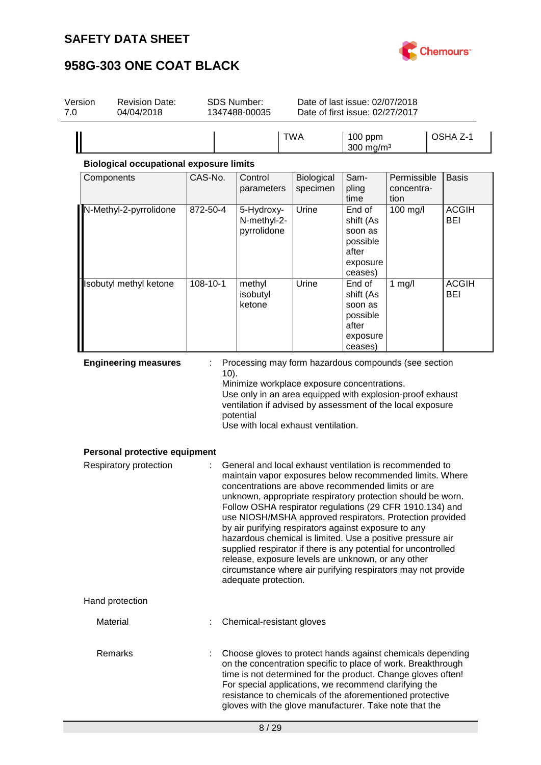

| Version<br>7.0 | <b>Revision Date:</b><br>04/04/2018                     |                | SDS Number:<br>1347488-00035                                                                                                                                                                                                                                                                                                                                                                                                                                                                                                                                                                                                                                                                                                                                                                                                                                                                                                         |                        | Date of last issue: 02/07/2018<br>Date of first issue: 02/27/2017          |                                   |                            |
|----------------|---------------------------------------------------------|----------------|--------------------------------------------------------------------------------------------------------------------------------------------------------------------------------------------------------------------------------------------------------------------------------------------------------------------------------------------------------------------------------------------------------------------------------------------------------------------------------------------------------------------------------------------------------------------------------------------------------------------------------------------------------------------------------------------------------------------------------------------------------------------------------------------------------------------------------------------------------------------------------------------------------------------------------------|------------------------|----------------------------------------------------------------------------|-----------------------------------|----------------------------|
|                |                                                         |                |                                                                                                                                                                                                                                                                                                                                                                                                                                                                                                                                                                                                                                                                                                                                                                                                                                                                                                                                      | <b>TWA</b>             | 100 ppm<br>300 mg/m <sup>3</sup>                                           |                                   | OSHA Z-1                   |
|                | <b>Biological occupational exposure limits</b>          |                |                                                                                                                                                                                                                                                                                                                                                                                                                                                                                                                                                                                                                                                                                                                                                                                                                                                                                                                                      |                        |                                                                            |                                   |                            |
|                | Components                                              | CAS-No.        | Control<br>parameters                                                                                                                                                                                                                                                                                                                                                                                                                                                                                                                                                                                                                                                                                                                                                                                                                                                                                                                | Biological<br>specimen | Sam-<br>pling<br>time                                                      | Permissible<br>concentra-<br>tion | <b>Basis</b>               |
|                | N-Methyl-2-pyrrolidone                                  | $872 - 50 - 4$ | 5-Hydroxy-<br>N-methyl-2-<br>pyrrolidone                                                                                                                                                                                                                                                                                                                                                                                                                                                                                                                                                                                                                                                                                                                                                                                                                                                                                             | Urine                  | End of<br>shift (As<br>soon as<br>possible<br>after<br>exposure<br>ceases) | 100 mg/l                          | <b>ACGIH</b><br>BEI        |
|                | Isobutyl methyl ketone                                  | $108 - 10 - 1$ | methyl<br>isobutyl<br>ketone                                                                                                                                                                                                                                                                                                                                                                                                                                                                                                                                                                                                                                                                                                                                                                                                                                                                                                         | Urine                  | End of<br>shift (As<br>soon as<br>possible<br>after<br>exposure<br>ceases) | $1$ mg/l                          | <b>ACGIH</b><br><b>BEI</b> |
|                | Personal protective equipment<br>Respiratory protection |                | Minimize workplace exposure concentrations.<br>Use only in an area equipped with explosion-proof exhaust<br>ventilation if advised by assessment of the local exposure<br>potential<br>Use with local exhaust ventilation.<br>General and local exhaust ventilation is recommended to<br>maintain vapor exposures below recommended limits. Where<br>concentrations are above recommended limits or are<br>unknown, appropriate respiratory protection should be worn.<br>Follow OSHA respirator regulations (29 CFR 1910.134) and<br>use NIOSH/MSHA approved respirators. Protection provided<br>by air purifying respirators against exposure to any<br>hazardous chemical is limited. Use a positive pressure air<br>supplied respirator if there is any potential for uncontrolled<br>release, exposure levels are unknown, or any other<br>circumstance where air purifying respirators may not provide<br>adequate protection. |                        |                                                                            |                                   |                            |
|                | Hand protection                                         |                |                                                                                                                                                                                                                                                                                                                                                                                                                                                                                                                                                                                                                                                                                                                                                                                                                                                                                                                                      |                        |                                                                            |                                   |                            |
|                | Material                                                |                | Chemical-resistant gloves                                                                                                                                                                                                                                                                                                                                                                                                                                                                                                                                                                                                                                                                                                                                                                                                                                                                                                            |                        |                                                                            |                                   |                            |
|                | Remarks                                                 |                | Choose gloves to protect hands against chemicals depending<br>on the concentration specific to place of work. Breakthrough<br>time is not determined for the product. Change gloves often!<br>For special applications, we recommend clarifying the<br>resistance to chemicals of the aforementioned protective<br>gloves with the glove manufacturer. Take note that the                                                                                                                                                                                                                                                                                                                                                                                                                                                                                                                                                            |                        |                                                                            |                                   |                            |
|                |                                                         |                | 8/29                                                                                                                                                                                                                                                                                                                                                                                                                                                                                                                                                                                                                                                                                                                                                                                                                                                                                                                                 |                        |                                                                            |                                   |                            |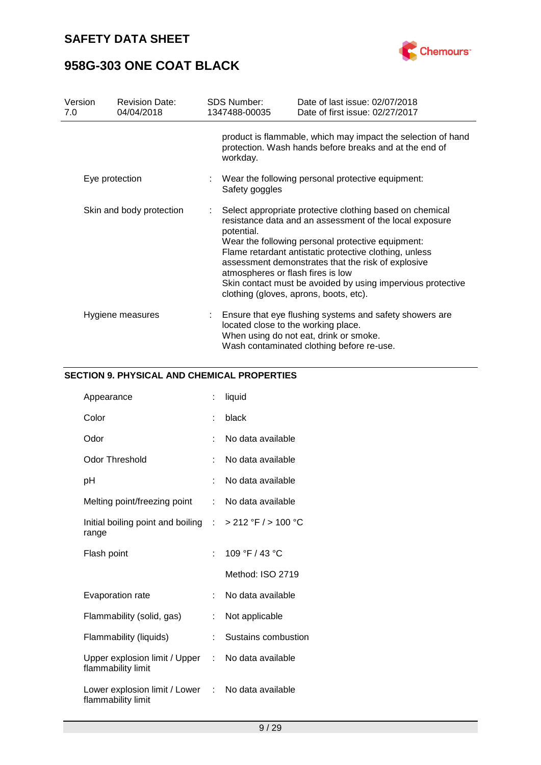

| Version<br>7.0 |                                                                                                                                                                                                                                                                                                                                                                                                                                                                                  | <b>Revision Date:</b><br>04/04/2018 | <b>SDS Number:</b><br>1347488-00035                                   | Date of last issue: 02/07/2018<br>Date of first issue: 02/27/2017                                                                              |  |  |
|----------------|----------------------------------------------------------------------------------------------------------------------------------------------------------------------------------------------------------------------------------------------------------------------------------------------------------------------------------------------------------------------------------------------------------------------------------------------------------------------------------|-------------------------------------|-----------------------------------------------------------------------|------------------------------------------------------------------------------------------------------------------------------------------------|--|--|
|                |                                                                                                                                                                                                                                                                                                                                                                                                                                                                                  |                                     | workday.                                                              | product is flammable, which may impact the selection of hand<br>protection. Wash hands before breaks and at the end of                         |  |  |
| Eye protection |                                                                                                                                                                                                                                                                                                                                                                                                                                                                                  |                                     | : Wear the following personal protective equipment:<br>Safety goggles |                                                                                                                                                |  |  |
|                | Skin and body protection<br>Select appropriate protective clothing based on chemical<br>resistance data and an assessment of the local exposure<br>potential.<br>Wear the following personal protective equipment:<br>Flame retardant antistatic protective clothing, unless<br>assessment demonstrates that the risk of explosive<br>atmospheres or flash fires is low<br>Skin contact must be avoided by using impervious protective<br>clothing (gloves, aprons, boots, etc). |                                     |                                                                       |                                                                                                                                                |  |  |
|                | Hygiene measures                                                                                                                                                                                                                                                                                                                                                                                                                                                                 |                                     | located close to the working place.                                   | Ensure that eye flushing systems and safety showers are<br>When using do not eat, drink or smoke.<br>Wash contaminated clothing before re-use. |  |  |

### **SECTION 9. PHYSICAL AND CHEMICAL PROPERTIES**

| Appearance                                                                  | t                         | liquid              |
|-----------------------------------------------------------------------------|---------------------------|---------------------|
| Color                                                                       | ÷                         | black               |
| Odor                                                                        | t                         | No data available   |
| <b>Odor Threshold</b>                                                       | t                         | No data available   |
| рH                                                                          | t                         | No data available   |
| Melting point/freezing point                                                | $\mathbb{R}^{\mathbb{Z}}$ | No data available   |
| Initial boiling point and boiling $\therefore$ > 212 °F / > 100 °C<br>range |                           |                     |
| Flash point                                                                 | ۰                         | 109 °F / 43 °C      |
|                                                                             |                           | Method: ISO 2719    |
| <b>Evaporation rate</b>                                                     | t.                        | No data available   |
| Flammability (solid, gas)                                                   | t,                        | Not applicable      |
| Flammability (liquids)                                                      | t.                        | Sustains combustion |
| Upper explosion limit / Upper<br>flammability limit                         | t.                        | No data available   |
| Lower explosion limit / Lower : No data available<br>flammability limit     |                           |                     |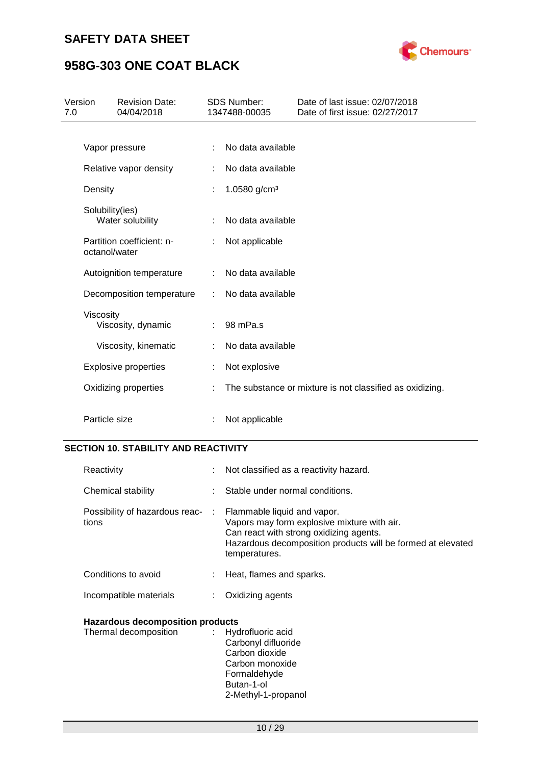

### **958G-303 ONE COAT BLACK**

| 7.0 | Version         | <b>Revision Date:</b><br>04/04/2018 |   | <b>SDS Number:</b><br>1347488-00035 | Date of last issue: 02/07/2018<br>Date of first issue: 02/27/2017 |
|-----|-----------------|-------------------------------------|---|-------------------------------------|-------------------------------------------------------------------|
|     |                 |                                     |   |                                     |                                                                   |
|     |                 | Vapor pressure                      |   | No data available                   |                                                                   |
|     |                 | Relative vapor density              | ÷ | No data available                   |                                                                   |
|     | Density         |                                     | ÷ | 1.0580 $g/cm3$                      |                                                                   |
|     | Solubility(ies) | Water solubility                    | ÷ | No data available                   |                                                                   |
|     | octanol/water   | Partition coefficient: n-           | ÷ | Not applicable                      |                                                                   |
|     |                 | Autoignition temperature            | ÷ | No data available                   |                                                                   |
|     |                 | Decomposition temperature           | ÷ | No data available                   |                                                                   |
|     | Viscosity       | Viscosity, dynamic                  | ÷ | 98 mPa.s                            |                                                                   |
|     |                 | Viscosity, kinematic                |   | No data available                   |                                                                   |
|     |                 | <b>Explosive properties</b>         | ÷ | Not explosive                       |                                                                   |
|     |                 | Oxidizing properties                | ÷ |                                     | The substance or mixture is not classified as oxidizing.          |
|     | Particle size   |                                     |   | Not applicable                      |                                                                   |

### **SECTION 10. STABILITY AND REACTIVITY**

| Reactivity                                                            | : Not classified as a reactivity hazard.                                                                                                                               |
|-----------------------------------------------------------------------|------------------------------------------------------------------------------------------------------------------------------------------------------------------------|
| Chemical stability                                                    | Stable under normal conditions.                                                                                                                                        |
| Possibility of hazardous reac- : Flammable liquid and vapor.<br>tions | Vapors may form explosive mixture with air.<br>Can react with strong oxidizing agents.<br>Hazardous decomposition products will be formed at elevated<br>temperatures. |
| Conditions to avoid                                                   | : Heat, flames and sparks.                                                                                                                                             |
| Incompatible materials                                                | Oxidizing agents                                                                                                                                                       |
| <b>Hazardous decomposition products</b><br>Thermal decomposition      | : Hydrofluoric acid<br>Carbonyl difluoride<br>Carbon dioxide<br>Carbon monoxide<br>Formaldehyde                                                                        |

2-Methyl-1-propanol

Butan-1-ol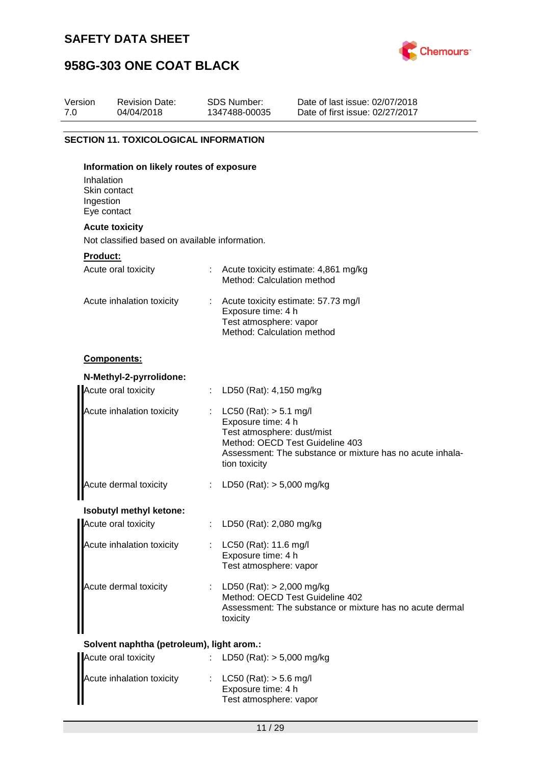

| Version<br>7.0 | <b>Revision Date:</b><br>04/04/2018                                     |    | <b>SDS Number:</b><br>1347488-00035                                                                                                                                                             | Date of last issue: 02/07/2018<br>Date of first issue: 02/27/2017 |  |
|----------------|-------------------------------------------------------------------------|----|-------------------------------------------------------------------------------------------------------------------------------------------------------------------------------------------------|-------------------------------------------------------------------|--|
|                | <b>SECTION 11. TOXICOLOGICAL INFORMATION</b>                            |    |                                                                                                                                                                                                 |                                                                   |  |
|                | Information on likely routes of exposure                                |    |                                                                                                                                                                                                 |                                                                   |  |
|                | Inhalation<br>Skin contact<br>Ingestion<br>Eye contact                  |    |                                                                                                                                                                                                 |                                                                   |  |
|                | <b>Acute toxicity</b><br>Not classified based on available information. |    |                                                                                                                                                                                                 |                                                                   |  |
|                | Product:                                                                |    |                                                                                                                                                                                                 |                                                                   |  |
|                | Acute oral toxicity                                                     |    | Method: Calculation method                                                                                                                                                                      | : Acute toxicity estimate: 4,861 mg/kg                            |  |
|                | Acute inhalation toxicity                                               |    | Acute toxicity estimate: 57.73 mg/l<br>Exposure time: 4 h<br>Test atmosphere: vapor<br>Method: Calculation method                                                                               |                                                                   |  |
|                | Components:                                                             |    |                                                                                                                                                                                                 |                                                                   |  |
|                | N-Methyl-2-pyrrolidone:                                                 |    |                                                                                                                                                                                                 |                                                                   |  |
|                | Acute oral toxicity                                                     |    | : LD50 (Rat): $4,150$ mg/kg                                                                                                                                                                     |                                                                   |  |
|                | Acute inhalation toxicity                                               |    | $LC50$ (Rat): $> 5.1$ mg/l<br>Exposure time: 4 h<br>Test atmosphere: dust/mist<br>Method: OECD Test Guideline 403<br>Assessment: The substance or mixture has no acute inhala-<br>tion toxicity |                                                                   |  |
|                | Acute dermal toxicity                                                   | ÷  | LD50 (Rat): $> 5,000$ mg/kg                                                                                                                                                                     |                                                                   |  |
|                | Isobutyl methyl ketone:                                                 |    |                                                                                                                                                                                                 |                                                                   |  |
|                | Acute oral toxicity                                                     | ÷. | LD50 (Rat): 2,080 mg/kg                                                                                                                                                                         |                                                                   |  |
|                | Acute inhalation toxicity                                               |    | LC50 (Rat): 11.6 mg/l<br>Exposure time: 4 h<br>Test atmosphere: vapor                                                                                                                           |                                                                   |  |
|                | Acute dermal toxicity                                                   |    | : LD50 (Rat): $> 2,000$ mg/kg<br>Method: OECD Test Guideline 402<br>Assessment: The substance or mixture has no acute dermal<br>toxicity                                                        |                                                                   |  |
|                | Solvent naphtha (petroleum), light arom.:                               |    |                                                                                                                                                                                                 |                                                                   |  |
|                | Acute oral toxicity                                                     |    | LD50 (Rat): $> 5,000$ mg/kg                                                                                                                                                                     |                                                                   |  |
|                | Acute inhalation toxicity                                               |    | $LC50$ (Rat): $> 5.6$ mg/l<br>Exposure time: 4 h<br>Test atmosphere: vapor                                                                                                                      |                                                                   |  |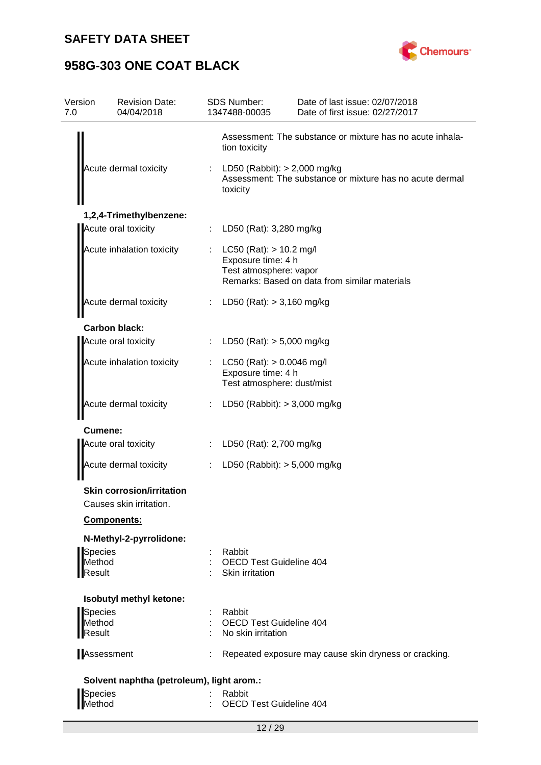

| Version<br>7.0                     | <b>Revision Date:</b><br>04/04/2018                         | <b>SDS Number:</b><br>1347488-00035                                             | Date of last issue: 02/07/2018<br>Date of first issue: 02/27/2017 |
|------------------------------------|-------------------------------------------------------------|---------------------------------------------------------------------------------|-------------------------------------------------------------------|
|                                    |                                                             | tion toxicity                                                                   | Assessment: The substance or mixture has no acute inhala-         |
|                                    | Acute dermal toxicity                                       | LD50 (Rabbit): > 2,000 mg/kg<br>toxicity                                        | Assessment: The substance or mixture has no acute dermal          |
|                                    | 1,2,4-Trimethylbenzene:                                     |                                                                                 |                                                                   |
|                                    | Acute oral toxicity                                         | LD50 (Rat): 3,280 mg/kg                                                         |                                                                   |
|                                    | Acute inhalation toxicity                                   | $LC50$ (Rat): $> 10.2$ mg/l<br>Exposure time: 4 h<br>Test atmosphere: vapor     | Remarks: Based on data from similar materials                     |
|                                    | Acute dermal toxicity                                       | LD50 (Rat): $> 3,160$ mg/kg                                                     |                                                                   |
|                                    | <b>Carbon black:</b>                                        |                                                                                 |                                                                   |
|                                    | Acute oral toxicity                                         | LD50 (Rat): $> 5,000$ mg/kg                                                     |                                                                   |
|                                    | Acute inhalation toxicity                                   | LC50 (Rat): $> 0.0046$ mg/l<br>Exposure time: 4 h<br>Test atmosphere: dust/mist |                                                                   |
|                                    | Acute dermal toxicity                                       | LD50 (Rabbit): $>$ 3,000 mg/kg                                                  |                                                                   |
| <b>Cumene:</b>                     |                                                             |                                                                                 |                                                                   |
|                                    | Acute oral toxicity                                         | LD50 (Rat): 2,700 mg/kg                                                         |                                                                   |
|                                    | Acute dermal toxicity                                       | LD50 (Rabbit): $> 5,000$ mg/kg                                                  |                                                                   |
|                                    | <b>Skin corrosion/irritation</b><br>Causes skin irritation. |                                                                                 |                                                                   |
|                                    | Components:                                                 |                                                                                 |                                                                   |
|                                    | N-Methyl-2-pyrrolidone:                                     |                                                                                 |                                                                   |
| <b>Species</b><br>Method<br>Result |                                                             | Rabbit<br><b>OECD Test Guideline 404</b><br>Skin irritation                     |                                                                   |
|                                    | Isobutyl methyl ketone:                                     |                                                                                 |                                                                   |
| <b>Species</b><br>Method<br>Result |                                                             | Rabbit<br>OECD Test Guideline 404<br>No skin irritation                         |                                                                   |
|                                    | Assessment                                                  |                                                                                 | Repeated exposure may cause skin dryness or cracking.             |
|                                    | Solvent naphtha (petroleum), light arom.:                   |                                                                                 |                                                                   |
| <b>Species</b><br>Method           |                                                             | Rabbit<br><b>OECD Test Guideline 404</b>                                        |                                                                   |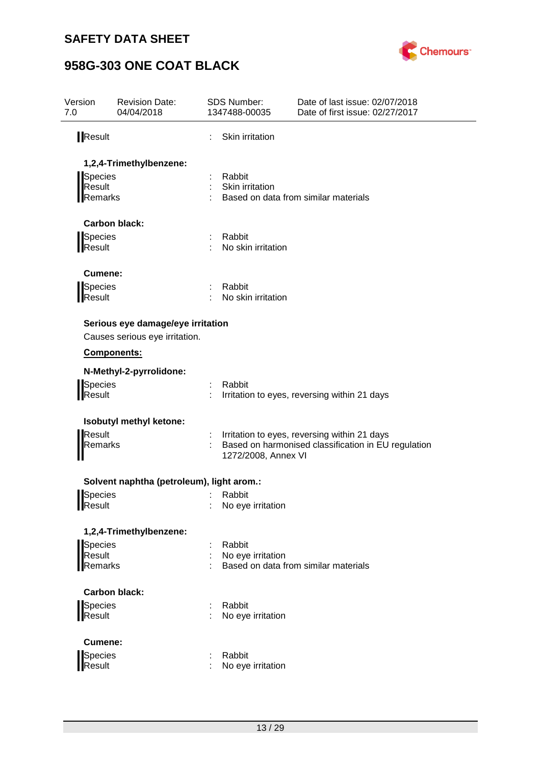

| Version<br>7.0 | <b>Revision Date:</b><br>04/04/2018       | <b>SDS Number:</b><br>1347488-00035 | Date of last issue: 02/07/2018<br>Date of first issue: 02/27/2017 |  |
|----------------|-------------------------------------------|-------------------------------------|-------------------------------------------------------------------|--|
| <b>Result</b>  |                                           | Skin irritation                     |                                                                   |  |
|                | 1,2,4-Trimethylbenzene:                   |                                     |                                                                   |  |
| Species        |                                           | Rabbit                              |                                                                   |  |
| Result         |                                           | Skin irritation                     |                                                                   |  |
| Remarks        |                                           |                                     | Based on data from similar materials                              |  |
|                | <b>Carbon black:</b>                      |                                     |                                                                   |  |
| Species        |                                           | Rabbit                              |                                                                   |  |
| Result         |                                           | No skin irritation                  |                                                                   |  |
| Cumene:        |                                           |                                     |                                                                   |  |
| Species        |                                           | Rabbit                              |                                                                   |  |
| Result         |                                           | No skin irritation                  |                                                                   |  |
|                | Serious eye damage/eye irritation         |                                     |                                                                   |  |
|                | Causes serious eye irritation.            |                                     |                                                                   |  |
|                | Components:                               |                                     |                                                                   |  |
|                | N-Methyl-2-pyrrolidone:                   |                                     |                                                                   |  |
| Species        |                                           | Rabbit                              |                                                                   |  |
| Result         |                                           |                                     | Irritation to eyes, reversing within 21 days                      |  |
|                | Isobutyl methyl ketone:                   |                                     |                                                                   |  |
| Result         |                                           |                                     | Irritation to eyes, reversing within 21 days                      |  |
| Remarks        |                                           | 1272/2008, Annex VI                 | Based on harmonised classification in EU regulation               |  |
|                | Solvent naphtha (petroleum), light arom.: |                                     |                                                                   |  |
| Species        |                                           | Rabbit                              |                                                                   |  |
| Result         |                                           | No eye irritation                   |                                                                   |  |
|                | 1,2,4-Trimethylbenzene:                   |                                     |                                                                   |  |
| Species        |                                           | Rabbit                              |                                                                   |  |
| Result         |                                           | No eye irritation                   |                                                                   |  |
| Remarks        |                                           |                                     | Based on data from similar materials                              |  |
|                | <b>Carbon black:</b>                      |                                     |                                                                   |  |
| Species        |                                           | Rabbit                              |                                                                   |  |
| <b>IResult</b> |                                           | No eye irritation                   |                                                                   |  |
| <b>Cumene:</b> |                                           |                                     |                                                                   |  |
| <b>Species</b> |                                           | Rabbit                              |                                                                   |  |
| Result         |                                           | No eye irritation                   |                                                                   |  |
|                |                                           |                                     |                                                                   |  |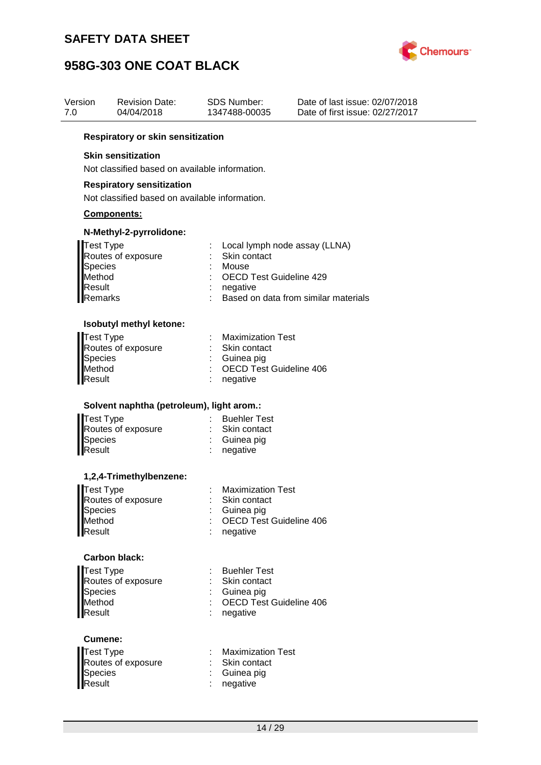

| Version<br>7.0 | Revision Date:<br>04/04/2018                                                                   | SDS Number:<br>1347488-00035                                        | Date of last issue: 02/07/2018<br>Date of first issue: 02/27/2017       |
|----------------|------------------------------------------------------------------------------------------------|---------------------------------------------------------------------|-------------------------------------------------------------------------|
|                | <b>Respiratory or skin sensitization</b>                                                       |                                                                     |                                                                         |
|                | <b>Skin sensitization</b>                                                                      |                                                                     |                                                                         |
|                | Not classified based on available information.                                                 |                                                                     |                                                                         |
|                | <b>Respiratory sensitization</b>                                                               |                                                                     |                                                                         |
|                | Not classified based on available information.                                                 |                                                                     |                                                                         |
|                | <b>Components:</b>                                                                             |                                                                     |                                                                         |
|                | N-Methyl-2-pyrrolidone:                                                                        |                                                                     |                                                                         |
|                | <b>Test Type</b><br>Routes of exposure<br><b>Species</b><br>Method<br>Result<br><b>Remarks</b> | Skin contact<br>Mouse<br><b>OECD Test Guideline 429</b><br>negative | : Local lymph node assay (LLNA)<br>Based on data from similar materials |
|                | Isobutyl methyl ketone:                                                                        |                                                                     |                                                                         |
|                | <b>Test Type</b>                                                                               | <b>Maximization Test</b>                                            |                                                                         |
|                | Routes of exposure                                                                             | Skin contact                                                        |                                                                         |
|                | Species<br>Method                                                                              | Guinea pig<br><b>OECD Test Guideline 406</b>                        |                                                                         |
|                | Result                                                                                         | negative                                                            |                                                                         |
|                | Solvent naphtha (petroleum), light arom.:                                                      |                                                                     |                                                                         |
|                | <b>Test Type</b>                                                                               | : Buehler Test                                                      |                                                                         |
|                | Routes of exposure<br><b>Species</b>                                                           | : Skin contact<br>Guinea pig                                        |                                                                         |
|                | Result                                                                                         | negative                                                            |                                                                         |
|                | 1,2,4-Trimethylbenzene:                                                                        |                                                                     |                                                                         |
|                | <b>Test Type</b>                                                                               | <b>Maximization Test</b>                                            |                                                                         |
|                | Routes of exposure                                                                             | Skin contact                                                        |                                                                         |
|                | <b>Species</b><br>Method                                                                       | : Guinea pig<br><b>OECD Test Guideline 406</b>                      |                                                                         |
|                | Result                                                                                         | negative                                                            |                                                                         |
|                | <b>Carbon black:</b>                                                                           |                                                                     |                                                                         |
|                | <b>Test Type</b>                                                                               | <b>Buehler Test</b>                                                 |                                                                         |
|                | Routes of exposure<br>Species                                                                  | Skin contact<br>: Guinea pig                                        |                                                                         |
|                | Method                                                                                         | <b>OECD Test Guideline 406</b>                                      |                                                                         |
|                | <b>Result</b>                                                                                  | negative                                                            |                                                                         |
|                | Cumene:                                                                                        |                                                                     |                                                                         |
|                | <b>Test Type</b>                                                                               | <b>Maximization Test</b>                                            |                                                                         |
|                | Routes of exposure<br>Species                                                                  | Skin contact<br>Guinea pig                                          |                                                                         |
|                | Result                                                                                         | negative                                                            |                                                                         |
|                |                                                                                                |                                                                     |                                                                         |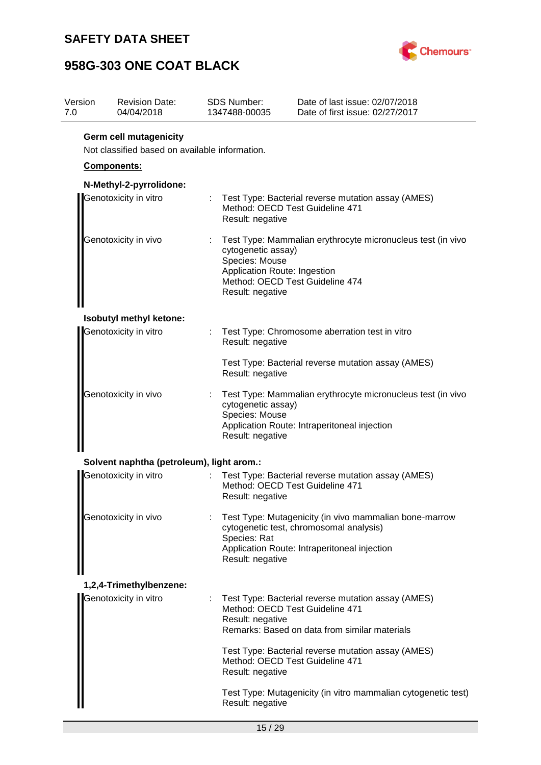

| Version<br>7.0 | <b>Revision Date:</b><br>04/04/2018                                             | <b>SDS Number:</b><br>1347488-00035                                                                       | Date of last issue: 02/07/2018<br>Date of first issue: 02/27/2017                                                                                    |  |  |  |  |
|----------------|---------------------------------------------------------------------------------|-----------------------------------------------------------------------------------------------------------|------------------------------------------------------------------------------------------------------------------------------------------------------|--|--|--|--|
|                | <b>Germ cell mutagenicity</b><br>Not classified based on available information. |                                                                                                           |                                                                                                                                                      |  |  |  |  |
|                | Components:                                                                     |                                                                                                           |                                                                                                                                                      |  |  |  |  |
|                | N-Methyl-2-pyrrolidone:                                                         |                                                                                                           |                                                                                                                                                      |  |  |  |  |
|                | Genotoxicity in vitro                                                           | t.<br>Result: negative                                                                                    | Test Type: Bacterial reverse mutation assay (AMES)<br>Method: OECD Test Guideline 471                                                                |  |  |  |  |
|                | Genotoxicity in vivo                                                            | Species: Mouse<br>Result: negative                                                                        | Test Type: Mammalian erythrocyte micronucleus test (in vivo<br>cytogenetic assay)<br>Application Route: Ingestion<br>Method: OECD Test Guideline 474 |  |  |  |  |
|                | Isobutyl methyl ketone:                                                         |                                                                                                           |                                                                                                                                                      |  |  |  |  |
|                | Genotoxicity in vitro                                                           | Result: negative                                                                                          | Test Type: Chromosome aberration test in vitro                                                                                                       |  |  |  |  |
|                |                                                                                 | Test Type: Bacterial reverse mutation assay (AMES)<br>Result: negative                                    |                                                                                                                                                      |  |  |  |  |
|                | Genotoxicity in vivo                                                            | Species: Mouse<br>Result: negative                                                                        | Test Type: Mammalian erythrocyte micronucleus test (in vivo<br>cytogenetic assay)<br>Application Route: Intraperitoneal injection                    |  |  |  |  |
|                | Solvent naphtha (petroleum), light arom.:                                       |                                                                                                           |                                                                                                                                                      |  |  |  |  |
|                | Genotoxicity in vitro                                                           | Result: negative                                                                                          | Test Type: Bacterial reverse mutation assay (AMES)<br>Method: OECD Test Guideline 471                                                                |  |  |  |  |
|                | Genotoxicity in vivo                                                            | Species: Rat<br>Result: negative                                                                          | Test Type: Mutagenicity (in vivo mammalian bone-marrow<br>cytogenetic test, chromosomal analysis)<br>Application Route: Intraperitoneal injection    |  |  |  |  |
|                | 1,2,4-Trimethylbenzene:                                                         |                                                                                                           |                                                                                                                                                      |  |  |  |  |
|                | Genotoxicity in vitro                                                           | Result: negative                                                                                          | Test Type: Bacterial reverse mutation assay (AMES)<br>Method: OECD Test Guideline 471<br>Remarks: Based on data from similar materials               |  |  |  |  |
|                |                                                                                 | Test Type: Bacterial reverse mutation assay (AMES)<br>Method: OECD Test Guideline 471<br>Result: negative |                                                                                                                                                      |  |  |  |  |
|                |                                                                                 | Result: negative                                                                                          | Test Type: Mutagenicity (in vitro mammalian cytogenetic test)                                                                                        |  |  |  |  |
|                |                                                                                 | 15/29                                                                                                     |                                                                                                                                                      |  |  |  |  |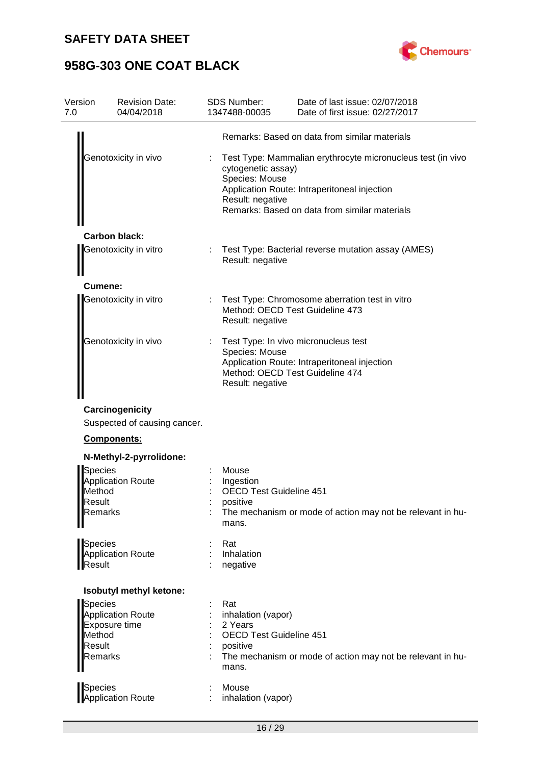

| Version<br>7.0                                    | <b>Revision Date:</b><br>04/04/2018             | SDS Number:<br>1347488-00035                                                                         | Date of last issue: 02/07/2018<br>Date of first issue: 02/27/2017                                                                                            |
|---------------------------------------------------|-------------------------------------------------|------------------------------------------------------------------------------------------------------|--------------------------------------------------------------------------------------------------------------------------------------------------------------|
|                                                   |                                                 |                                                                                                      | Remarks: Based on data from similar materials                                                                                                                |
|                                                   | Genotoxicity in vivo                            | cytogenetic assay)<br>Species: Mouse<br>Result: negative                                             | Test Type: Mammalian erythrocyte micronucleus test (in vivo<br>Application Route: Intraperitoneal injection<br>Remarks: Based on data from similar materials |
|                                                   | <b>Carbon black:</b>                            |                                                                                                      |                                                                                                                                                              |
|                                                   | Genotoxicity in vitro                           | Result: negative                                                                                     | Test Type: Bacterial reverse mutation assay (AMES)                                                                                                           |
| Cumene:                                           |                                                 |                                                                                                      |                                                                                                                                                              |
|                                                   | Genotoxicity in vitro                           | Result: negative                                                                                     | Test Type: Chromosome aberration test in vitro<br>Method: OECD Test Guideline 473                                                                            |
|                                                   | Genotoxicity in vivo                            | Species: Mouse<br>Result: negative                                                                   | Test Type: In vivo micronucleus test<br>Application Route: Intraperitoneal injection<br>Method: OECD Test Guideline 474                                      |
|                                                   | Carcinogenicity<br>Suspected of causing cancer. |                                                                                                      |                                                                                                                                                              |
|                                                   | Components:                                     |                                                                                                      |                                                                                                                                                              |
|                                                   | N-Methyl-2-pyrrolidone:                         |                                                                                                      |                                                                                                                                                              |
| <b>Species</b><br>Method<br>Result<br>Remarks     | <b>Application Route</b>                        | Mouse<br>Ingestion<br><b>OECD Test Guideline 451</b><br>positive<br>mans.                            | The mechanism or mode of action may not be relevant in hu-                                                                                                   |
| Species<br>Result                                 | <b>Application Route</b>                        | Rat<br>Inhalation<br>negative                                                                        |                                                                                                                                                              |
|                                                   | Isobutyl methyl ketone:                         |                                                                                                      |                                                                                                                                                              |
| Species<br>Method<br>Result<br>Remarks<br>Species | <b>Application Route</b><br>Exposure time       | Rat<br>inhalation (vapor)<br>2 Years<br><b>OECD Test Guideline 451</b><br>positive<br>mans.<br>Mouse | The mechanism or mode of action may not be relevant in hu-                                                                                                   |
|                                                   | Application Route                               | inhalation (vapor)                                                                                   |                                                                                                                                                              |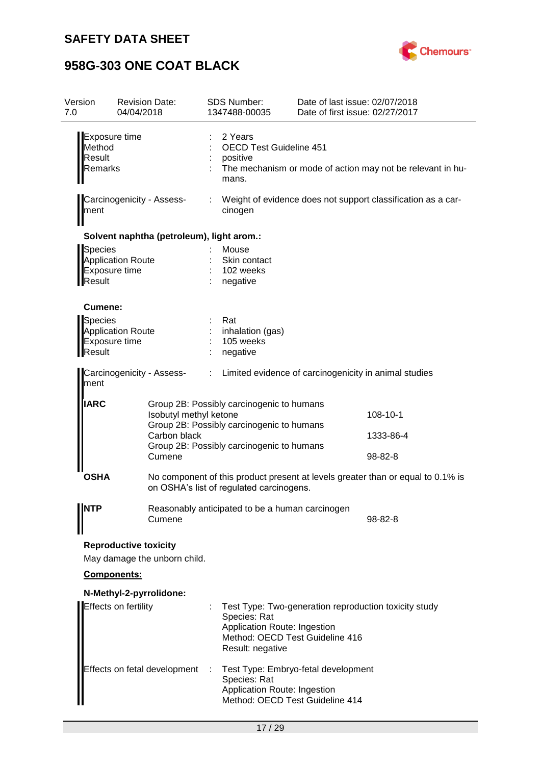

| Version<br>7.0              | <b>Revision Date:</b><br>04/04/2018                          | <b>SDS Number:</b><br>1347488-00035                                                                              | Date of last issue: 02/07/2018<br>Date of first issue: 02/27/2017                        |
|-----------------------------|--------------------------------------------------------------|------------------------------------------------------------------------------------------------------------------|------------------------------------------------------------------------------------------|
| Method<br>Result<br>Remarks | Exposure time                                                | 2 Years<br><b>OECD Test Guideline 451</b><br>positive<br>mans.                                                   | The mechanism or mode of action may not be relevant in hu-                               |
| ment                        | Carcinogenicity - Assess-                                    | cinogen                                                                                                          | Weight of evidence does not support classification as a car-                             |
|                             | Solvent naphtha (petroleum), light arom.:                    |                                                                                                                  |                                                                                          |
| Species<br>Result           | <b>Application Route</b><br>Exposure time                    | Mouse<br>Skin contact<br>102 weeks<br>negative                                                                   |                                                                                          |
| Cumene:                     |                                                              |                                                                                                                  |                                                                                          |
| Species<br>Result           | <b>Application Route</b><br>Exposure time                    | Rat<br>inhalation (gas)<br>105 weeks<br>negative                                                                 |                                                                                          |
| ment                        | Carcinogenicity - Assess-                                    | $\mathbb{Z}^n$ .                                                                                                 | Limited evidence of carcinogenicity in animal studies                                    |
| <b>IARC</b>                 |                                                              | Group 2B: Possibly carcinogenic to humans<br>Isobutyl methyl ketone<br>Group 2B: Possibly carcinogenic to humans | 108-10-1                                                                                 |
|                             | Carbon black<br>Cumene                                       | Group 2B: Possibly carcinogenic to humans                                                                        | 1333-86-4<br>98-82-8                                                                     |
| <b>OSHA</b>                 |                                                              | on OSHA's list of regulated carcinogens.                                                                         | No component of this product present at levels greater than or equal to 0.1% is          |
| <b>NTP</b>                  | Cumene                                                       | Reasonably anticipated to be a human carcinogen                                                                  | 98-82-8                                                                                  |
|                             | <b>Reproductive toxicity</b><br>May damage the unborn child. |                                                                                                                  |                                                                                          |
|                             | Components:                                                  |                                                                                                                  |                                                                                          |
|                             | N-Methyl-2-pyrrolidone:                                      |                                                                                                                  |                                                                                          |
|                             | Effects on fertility                                         | Species: Rat<br>Application Route: Ingestion<br>Result: negative                                                 | Test Type: Two-generation reproduction toxicity study<br>Method: OECD Test Guideline 416 |
|                             | Effects on fetal development                                 | -11<br>Species: Rat<br>Application Route: Ingestion                                                              | Test Type: Embryo-fetal development<br>Method: OECD Test Guideline 414                   |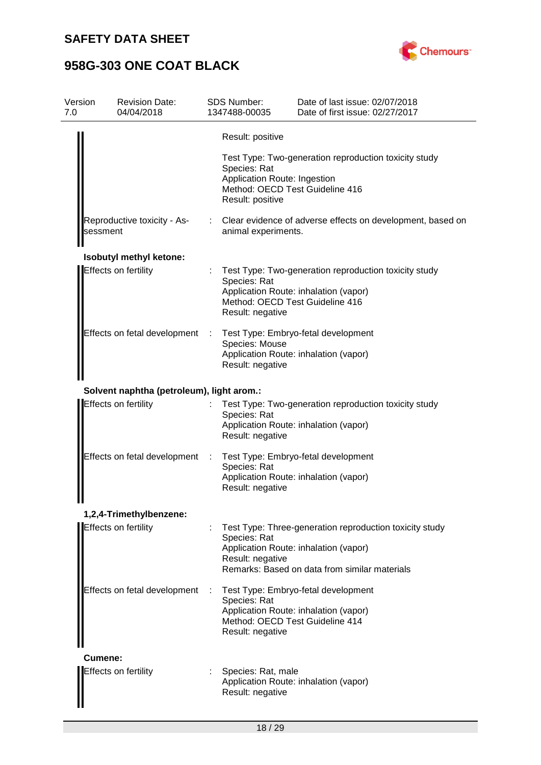

| Version<br>7.0 | <b>Revision Date:</b><br>04/04/2018       |   | <b>SDS Number:</b><br>1347488-00035                              | Date of last issue: 02/07/2018<br>Date of first issue: 02/27/2017                                                                                 |
|----------------|-------------------------------------------|---|------------------------------------------------------------------|---------------------------------------------------------------------------------------------------------------------------------------------------|
|                |                                           |   | Result: positive                                                 |                                                                                                                                                   |
|                |                                           |   | Species: Rat<br>Application Route: Ingestion<br>Result: positive | Test Type: Two-generation reproduction toxicity study<br>Method: OECD Test Guideline 416                                                          |
| sessment       | Reproductive toxicity - As-               |   | animal experiments.                                              | Clear evidence of adverse effects on development, based on                                                                                        |
|                | <b>Isobutyl methyl ketone:</b>            |   |                                                                  |                                                                                                                                                   |
|                | Effects on fertility                      |   | Species: Rat<br>Result: negative                                 | Test Type: Two-generation reproduction toxicity study<br>Application Route: inhalation (vapor)<br>Method: OECD Test Guideline 416                 |
|                | Effects on fetal development              | ÷ | Species: Mouse<br>Result: negative                               | Test Type: Embryo-fetal development<br>Application Route: inhalation (vapor)                                                                      |
|                | Solvent naphtha (petroleum), light arom.: |   |                                                                  |                                                                                                                                                   |
|                | Effects on fertility                      |   | Species: Rat<br>Result: negative                                 | Test Type: Two-generation reproduction toxicity study<br>Application Route: inhalation (vapor)                                                    |
|                | Effects on fetal development              | ÷ | Species: Rat<br>Result: negative                                 | Test Type: Embryo-fetal development<br>Application Route: inhalation (vapor)                                                                      |
| "              | 1,2,4-Trimethylbenzene:                   |   |                                                                  |                                                                                                                                                   |
|                | Effects on fertility                      |   | Species: Rat<br>Result: negative                                 | Test Type: Three-generation reproduction toxicity study<br>Application Route: inhalation (vapor)<br>Remarks: Based on data from similar materials |
|                | Effects on fetal development              | ÷ | Species: Rat<br>Result: negative                                 | Test Type: Embryo-fetal development<br>Application Route: inhalation (vapor)<br>Method: OECD Test Guideline 414                                   |
| Cumene:        |                                           |   |                                                                  |                                                                                                                                                   |
|                | Effects on fertility                      |   | Species: Rat, male<br>Result: negative                           | Application Route: inhalation (vapor)                                                                                                             |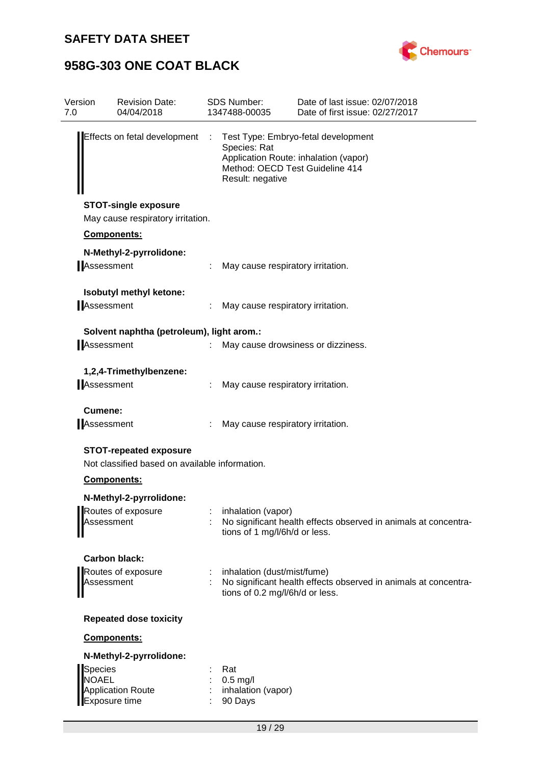

| Version<br>7.0                 | <b>Revision Date:</b><br>04/04/2018                                             |    | <b>SDS Number:</b><br>1347488-00035                                 | Date of last issue: 02/07/2018<br>Date of first issue: 02/27/2017            |
|--------------------------------|---------------------------------------------------------------------------------|----|---------------------------------------------------------------------|------------------------------------------------------------------------------|
| Effects on fetal development   |                                                                                 | ÷. | Species: Rat<br>Method: OECD Test Guideline 414<br>Result: negative | Test Type: Embryo-fetal development<br>Application Route: inhalation (vapor) |
|                                | <b>STOT-single exposure</b><br>May cause respiratory irritation.                |    |                                                                     |                                                                              |
|                                | Components:                                                                     |    |                                                                     |                                                                              |
| Assessment                     | N-Methyl-2-pyrrolidone:                                                         |    | May cause respiratory irritation.                                   |                                                                              |
| Assessment                     | Isobutyl methyl ketone:                                                         |    | May cause respiratory irritation.                                   |                                                                              |
|                                |                                                                                 |    |                                                                     |                                                                              |
|                                | Solvent naphtha (petroleum), light arom.:                                       |    |                                                                     |                                                                              |
| Assessment                     |                                                                                 |    |                                                                     | May cause drowsiness or dizziness.                                           |
|                                | 1,2,4-Trimethylbenzene:                                                         |    |                                                                     |                                                                              |
| Assessment                     |                                                                                 |    | May cause respiratory irritation.                                   |                                                                              |
| Cumene:<br>Assessment          |                                                                                 |    | May cause respiratory irritation.                                   |                                                                              |
|                                | <b>STOT-repeated exposure</b><br>Not classified based on available information. |    |                                                                     |                                                                              |
|                                | Components:                                                                     |    |                                                                     |                                                                              |
|                                | N-Methyl-2-pyrrolidone:                                                         |    |                                                                     |                                                                              |
| Assessment                     | Routes of exposure                                                              |    | inhalation (vapor)<br>tions of 1 mg/l/6h/d or less.                 | No significant health effects observed in animals at concentra-              |
|                                | <b>Carbon black:</b>                                                            |    |                                                                     |                                                                              |
| Assessment                     | Routes of exposure                                                              |    | : inhalation (dust/mist/fume)<br>tions of 0.2 mg/l/6h/d or less.    | No significant health effects observed in animals at concentra-              |
|                                | <b>Repeated dose toxicity</b>                                                   |    |                                                                     |                                                                              |
|                                | Components:                                                                     |    |                                                                     |                                                                              |
|                                | N-Methyl-2-pyrrolidone:                                                         |    |                                                                     |                                                                              |
| <b>Species</b><br><b>NOAEL</b> | <b>Application Route</b><br>Exposure time                                       |    | Rat<br>$0.5$ mg/l<br>inhalation (vapor)<br>90 Days                  |                                                                              |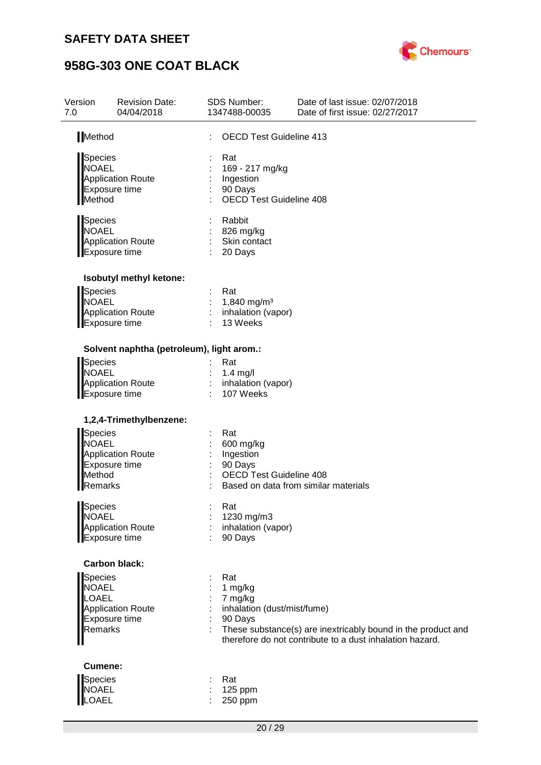

| Version<br>7.0                                            | <b>Revision Date:</b><br>04/04/2018       | <b>SDS Number:</b><br>1347488-00035                                              | Date of last issue: 02/07/2018<br>Date of first issue: 02/27/2017                                                        |
|-----------------------------------------------------------|-------------------------------------------|----------------------------------------------------------------------------------|--------------------------------------------------------------------------------------------------------------------------|
| Method                                                    |                                           | <b>OECD Test Guideline 413</b>                                                   |                                                                                                                          |
| Species<br><b>NOAEL</b><br>Method                         | <b>Application Route</b><br>Exposure time | Rat<br>169 - 217 mg/kg<br>Ingestion<br>90 Days<br><b>OECD Test Guideline 408</b> |                                                                                                                          |
| <b>Species</b><br><b>NOAEL</b><br><b>Exposure time</b>    | <b>Application Route</b>                  | Rabbit<br>826 mg/kg<br>Skin contact<br>20 Days                                   |                                                                                                                          |
|                                                           | Isobutyl methyl ketone:                   |                                                                                  |                                                                                                                          |
| <b>Species</b><br><b>NOAEL</b><br><b>Exposure time</b>    | <b>Application Route</b>                  | Rat<br>1,840 mg/m <sup>3</sup><br>inhalation (vapor)<br>13 Weeks                 |                                                                                                                          |
|                                                           | Solvent naphtha (petroleum), light arom.: |                                                                                  |                                                                                                                          |
| Species<br><b>NOAEL</b><br>Exposure time                  | <b>Application Route</b>                  | Rat<br>$1.4$ mg/l<br>inhalation (vapor)<br>107 Weeks                             |                                                                                                                          |
|                                                           | 1,2,4-Trimethylbenzene:                   |                                                                                  |                                                                                                                          |
| <b>Species</b><br><b>NOAEL</b><br>Method<br>Remarks       | <b>Application Route</b><br>Exposure time | Rat<br>600 mg/kg<br>Ingestion<br>90 Days<br>ł<br><b>OECD Test Guideline 408</b>  | Based on data from similar materials                                                                                     |
| Species<br><b>NOAEL</b><br><b>Exposure time</b>           | <b>Application Route</b>                  | Rat<br>1230 mg/m3<br>inhalation (vapor)<br>90 Days                               |                                                                                                                          |
|                                                           | <b>Carbon black:</b>                      |                                                                                  |                                                                                                                          |
| <b>Species</b><br><b>NOAEL</b><br><b>LOAEL</b><br>Remarks | <b>Application Route</b><br>Exposure time | Rat<br>1 mg/kg<br>7 mg/kg<br>inhalation (dust/mist/fume)<br>90 Days              | These substance(s) are inextricably bound in the product and<br>therefore do not contribute to a dust inhalation hazard. |
| Cumene:                                                   |                                           |                                                                                  |                                                                                                                          |
| <b>Species</b><br><b>NOAEL</b><br><b>OAEL</b>             |                                           | Rat<br>125 ppm<br>250 ppm                                                        |                                                                                                                          |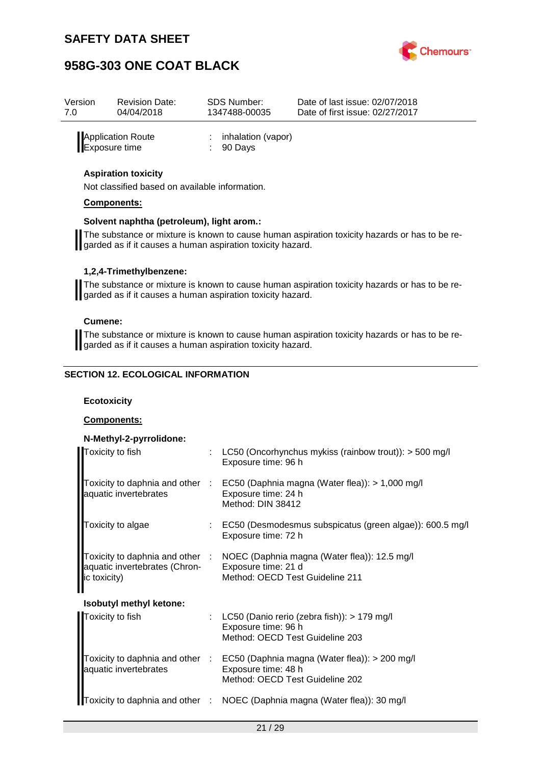

| Version       | <b>Revision Date:</b> | <b>SDS Number:</b>                         | Date of last issue: 02/07/2018  |
|---------------|-----------------------|--------------------------------------------|---------------------------------|
| 7.0           | 04/04/2018            | 1347488-00035                              | Date of first issue: 02/27/2017 |
| Exposure time | Application Route     | inhalation (vapor)<br>$\therefore$ 90 Days |                                 |

### **Aspiration toxicity**

Not classified based on available information.

#### **Components:**

#### **Solvent naphtha (petroleum), light arom.:**

The substance or mixture is known to cause human aspiration toxicity hazards or has to be regarded as if it causes a human aspiration toxicity hazard.

#### **1,2,4-Trimethylbenzene:**

The substance or mixture is known to cause human aspiration toxicity hazards or has to be regarded as if it causes a human aspiration toxicity hazard.

#### **Cumene:**

The substance or mixture is known to cause human aspiration toxicity hazards or has to be regarded as if it causes a human aspiration toxicity hazard.

### **SECTION 12. ECOLOGICAL INFORMATION**

#### **Ecotoxicity**

#### **Components:**

| N-Methyl-2-pyrrolidone:                       |                                                                                                                                         |
|-----------------------------------------------|-----------------------------------------------------------------------------------------------------------------------------------------|
| Toxicity to fish                              | : LC50 (Oncorhynchus mykiss (rainbow trout)): $>$ 500 mg/l<br>Exposure time: 96 h                                                       |
| aquatic invertebrates                         | Toxicity to daphnia and other : EC50 (Daphnia magna (Water flea)): > 1,000 mg/l<br>Exposure time: 24 h<br>Method: DIN 38412             |
| Toxicity to algae                             | $\therefore$ EC50 (Desmodesmus subspicatus (green algae)): 600.5 mg/l<br>Exposure time: 72 h                                            |
| aquatic invertebrates (Chron-<br>ic toxicity) | Toxicity to daphnia and other : NOEC (Daphnia magna (Water flea)): 12.5 mg/l<br>Exposure time: 21 d<br>Method: OECD Test Guideline 211  |
| Isobutyl methyl ketone:                       |                                                                                                                                         |
| Toxicity to fish                              | : LC50 (Danio rerio (zebra fish)): > 179 mg/l<br>Exposure time: 96 h<br>Method: OECD Test Guideline 203                                 |
| aquatic invertebrates                         | Toxicity to daphnia and other : EC50 (Daphnia magna (Water flea)): > 200 mg/l<br>Exposure time: 48 h<br>Method: OECD Test Guideline 202 |
|                                               | Toxicity to daphnia and other : NOEC (Daphnia magna (Water flea)): 30 mg/l                                                              |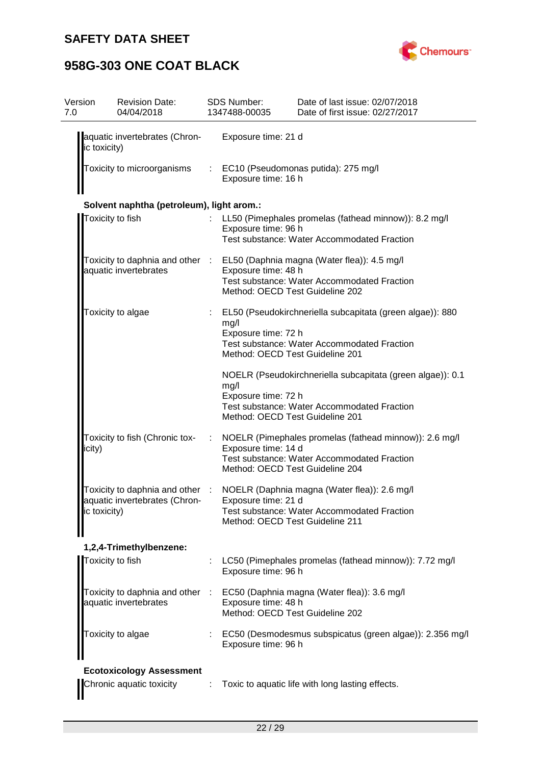

| Version<br>7.0 |                  | <b>Revision Date:</b><br>04/04/2018                    |            | SDS Number:<br>1347488-00035                           | Date of last issue: 02/07/2018<br>Date of first issue: 02/27/2017                                         |
|----------------|------------------|--------------------------------------------------------|------------|--------------------------------------------------------|-----------------------------------------------------------------------------------------------------------|
|                | ic toxicity)     | aquatic invertebrates (Chron-                          |            | Exposure time: 21 d                                    |                                                                                                           |
|                |                  | Toxicity to microorganisms                             |            | Exposure time: 16 h                                    | : EC10 (Pseudomonas putida): 275 mg/l                                                                     |
|                |                  | Solvent naphtha (petroleum), light arom.:              |            |                                                        |                                                                                                           |
|                | Toxicity to fish |                                                        |            | Exposure time: 96 h                                    | LL50 (Pimephales promelas (fathead minnow)): 8.2 mg/l<br>Test substance: Water Accommodated Fraction      |
|                |                  | aquatic invertebrates                                  |            | Exposure time: 48 h                                    | Toxicity to daphnia and other : EL50 (Daphnia magna (Water flea)): 4.5 mg/l                               |
|                |                  |                                                        |            | Method: OECD Test Guideline 202                        | <b>Test substance: Water Accommodated Fraction</b>                                                        |
|                |                  | Toxicity to algae                                      |            | mg/l<br>Exposure time: 72 h                            | EL50 (Pseudokirchneriella subcapitata (green algae)): 880<br>Test substance: Water Accommodated Fraction  |
|                |                  |                                                        |            | Method: OECD Test Guideline 201                        |                                                                                                           |
|                |                  |                                                        |            | mg/l<br>Exposure time: 72 h                            | NOELR (Pseudokirchneriella subcapitata (green algae)): 0.1<br>Test substance: Water Accommodated Fraction |
|                |                  |                                                        |            | Method: OECD Test Guideline 201                        |                                                                                                           |
|                | icity)           | Toxicity to fish (Chronic tox-                         |            | Exposure time: 14 d<br>Method: OECD Test Guideline 204 | NOELR (Pimephales promelas (fathead minnow)): 2.6 mg/l<br>Test substance: Water Accommodated Fraction     |
|                |                  | Toxicity to daphnia and other :                        |            |                                                        | NOELR (Daphnia magna (Water flea)): 2.6 mg/l                                                              |
|                | ic toxicity)     | aquatic invertebrates (Chron-                          |            | Exposure time: 21 d<br>Method: OECD Test Guideline 211 | Test substance: Water Accommodated Fraction                                                               |
|                |                  | 1,2,4-Trimethylbenzene:                                |            |                                                        |                                                                                                           |
|                |                  | Toxicity to fish                                       |            | Exposure time: 96 h                                    | LC50 (Pimephales promelas (fathead minnow)): 7.72 mg/l                                                    |
|                |                  | Toxicity to daphnia and other<br>aquatic invertebrates | $\sim 100$ | Exposure time: 48 h<br>Method: OECD Test Guideline 202 | EC50 (Daphnia magna (Water flea)): 3.6 mg/l                                                               |
|                |                  | Toxicity to algae                                      |            | Exposure time: 96 h                                    | EC50 (Desmodesmus subspicatus (green algae)): 2.356 mg/l                                                  |
|                |                  | <b>Ecotoxicology Assessment</b>                        |            |                                                        |                                                                                                           |
|                |                  | Chronic aquatic toxicity                               |            |                                                        | Toxic to aquatic life with long lasting effects.                                                          |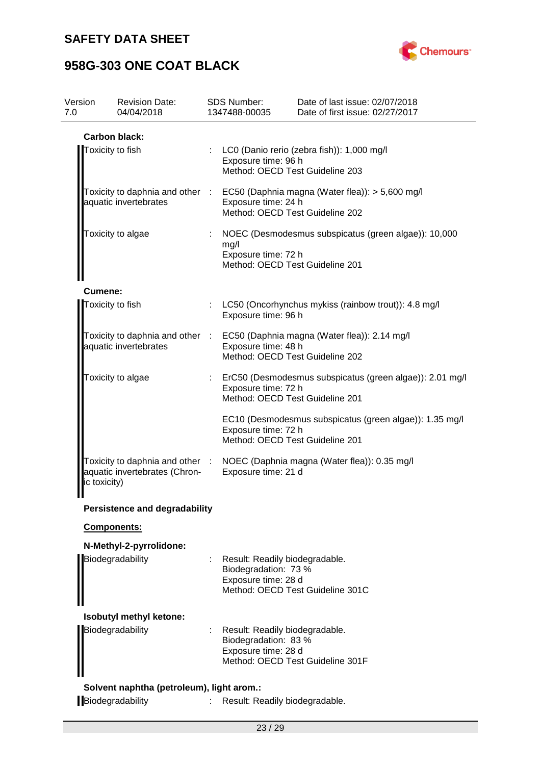

| Version<br>7.0   | <b>Revision Date:</b><br>04/04/2018       | <b>SDS Number:</b><br>1347488-00035                                                                                                       | Date of last issue: 02/07/2018<br>Date of first issue: 02/27/2017            |
|------------------|-------------------------------------------|-------------------------------------------------------------------------------------------------------------------------------------------|------------------------------------------------------------------------------|
|                  | <b>Carbon black:</b>                      |                                                                                                                                           |                                                                              |
| Toxicity to fish |                                           | Exposure time: 96 h<br>Method: OECD Test Guideline 203                                                                                    | : LC0 (Danio rerio (zebra fish)): 1,000 mg/l                                 |
|                  | aquatic invertebrates                     | Toxicity to daphnia and other : EC50 (Daphnia magna (Water flea)): > 5,600 mg/l<br>Exposure time: 24 h<br>Method: OECD Test Guideline 202 |                                                                              |
|                  | Toxicity to algae                         | : NOEC (Desmodesmus subspicatus (green algae)): 10,000<br>mg/l<br>Exposure time: 72 h<br>Method: OECD Test Guideline 201                  |                                                                              |
| Cumene:          |                                           |                                                                                                                                           |                                                                              |
|                  | Toxicity to fish                          | Exposure time: 96 h                                                                                                                       | : LC50 (Oncorhynchus mykiss (rainbow trout)): 4.8 mg/l                       |
|                  | aquatic invertebrates                     | Exposure time: 48 h<br>Method: OECD Test Guideline 202                                                                                    | Toxicity to daphnia and other : EC50 (Daphnia magna (Water flea)): 2.14 mg/l |
|                  | Toxicity to algae                         | Exposure time: 72 h<br>Method: OECD Test Guideline 201                                                                                    | : ErC50 (Desmodesmus subspicatus (green algae)): 2.01 mg/l                   |
|                  |                                           | Exposure time: 72 h<br>Method: OECD Test Guideline 201                                                                                    | EC10 (Desmodesmus subspicatus (green algae)): 1.35 mg/l                      |
| ic toxicity)     | aquatic invertebrates (Chron-             | Exposure time: 21 d                                                                                                                       | Toxicity to daphnia and other : NOEC (Daphnia magna (Water flea)): 0.35 mg/l |
|                  | <b>Persistence and degradability</b>      |                                                                                                                                           |                                                                              |
|                  | Components:                               |                                                                                                                                           |                                                                              |
|                  | N-Methyl-2-pyrrolidone:                   |                                                                                                                                           |                                                                              |
|                  | Biodegradability                          | : Result: Readily biodegradable.<br>Biodegradation: 73 %<br>Exposure time: 28 d                                                           | Method: OECD Test Guideline 301C                                             |
|                  | Isobutyl methyl ketone:                   |                                                                                                                                           |                                                                              |
|                  | Biodegradability                          | Result: Readily biodegradable.<br>Biodegradation: 83 %<br>Exposure time: 28 d                                                             | Method: OECD Test Guideline 301F                                             |
|                  | Solvent naphtha (petroleum), light arom.: |                                                                                                                                           |                                                                              |
|                  | Biodegradability                          | Result: Readily biodegradable.                                                                                                            |                                                                              |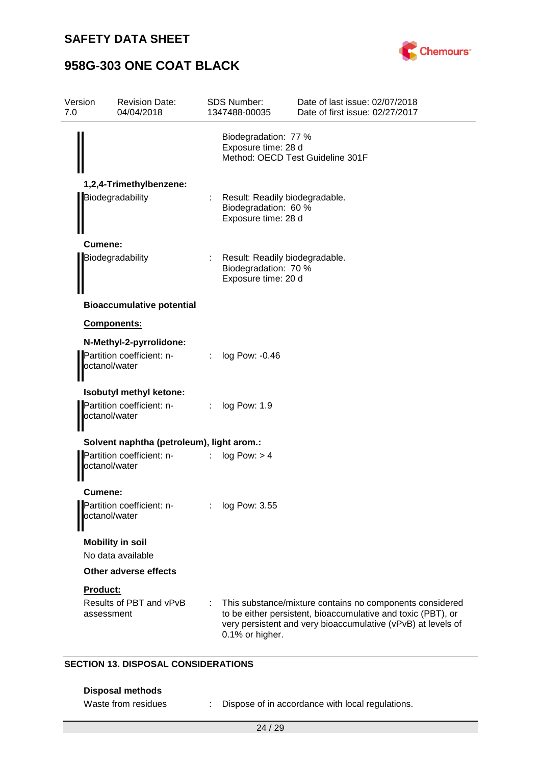

| Version<br>7.0   | <b>Revision Date:</b><br>04/04/2018                                   |                | <b>SDS Number:</b><br>1347488-00035                                             | Date of last issue: 02/07/2018<br>Date of first issue: 02/27/2017                                                                                                                        |
|------------------|-----------------------------------------------------------------------|----------------|---------------------------------------------------------------------------------|------------------------------------------------------------------------------------------------------------------------------------------------------------------------------------------|
|                  |                                                                       |                | Biodegradation: 77 %<br>Exposure time: 28 d<br>Method: OECD Test Guideline 301F |                                                                                                                                                                                          |
|                  | 1,2,4-Trimethylbenzene:                                               |                |                                                                                 |                                                                                                                                                                                          |
| Biodegradability |                                                                       |                | : Result: Readily biodegradable.<br>Biodegradation: 60 %<br>Exposure time: 28 d |                                                                                                                                                                                          |
|                  | Cumene:                                                               |                |                                                                                 |                                                                                                                                                                                          |
|                  | Biodegradability                                                      |                | : Result: Readily biodegradable.<br>Biodegradation: 70 %<br>Exposure time: 20 d |                                                                                                                                                                                          |
|                  | <b>Bioaccumulative potential</b>                                      |                |                                                                                 |                                                                                                                                                                                          |
|                  | Components:                                                           |                |                                                                                 |                                                                                                                                                                                          |
|                  | N-Methyl-2-pyrrolidone:<br>Partition coefficient: n-<br>octanol/water |                | $\therefore$ log Pow: -0.46                                                     |                                                                                                                                                                                          |
|                  |                                                                       |                |                                                                                 |                                                                                                                                                                                          |
|                  | Isobutyl methyl ketone:<br>Partition coefficient: n-<br>octanol/water | : log Pow: 1.9 |                                                                                 |                                                                                                                                                                                          |
|                  | Solvent naphtha (petroleum), light arom.:                             |                |                                                                                 |                                                                                                                                                                                          |
|                  | Partition coefficient: n-<br>octanol/water                            |                | : $log Pow: > 4$                                                                |                                                                                                                                                                                          |
|                  | <b>Cumene:</b>                                                        |                |                                                                                 |                                                                                                                                                                                          |
|                  | Partition coefficient: n-<br>octanol/water                            |                | log Pow: 3.55                                                                   |                                                                                                                                                                                          |
|                  | <b>Mobility in soil</b>                                               |                |                                                                                 |                                                                                                                                                                                          |
|                  | No data available                                                     |                |                                                                                 |                                                                                                                                                                                          |
|                  | <b>Other adverse effects</b>                                          |                |                                                                                 |                                                                                                                                                                                          |
|                  | <b>Product:</b><br>Results of PBT and vPvB<br>assessment              |                | 0.1% or higher.                                                                 | This substance/mixture contains no components considered<br>to be either persistent, bioaccumulative and toxic (PBT), or<br>very persistent and very bioaccumulative (vPvB) at levels of |

### **SECTION 13. DISPOSAL CONSIDERATIONS**

### **Disposal methods**

- 
- Waste from residues : Dispose of in accordance with local regulations.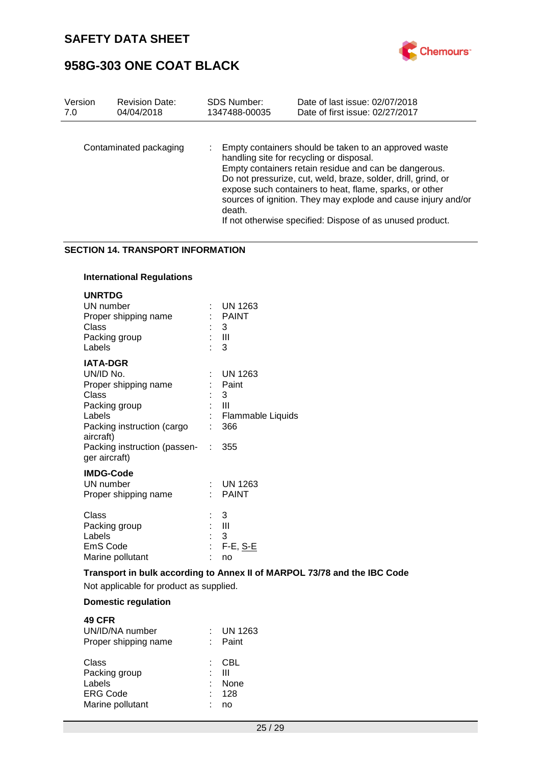

| Version | <b>Revision Date:</b>  | <b>SDS Number:</b> | Date of last issue: 02/07/2018                                                                                                                                                                                                                                                                                                                                                                                       |
|---------|------------------------|--------------------|----------------------------------------------------------------------------------------------------------------------------------------------------------------------------------------------------------------------------------------------------------------------------------------------------------------------------------------------------------------------------------------------------------------------|
| 7.0     | 04/04/2018             | 1347488-00035      | Date of first issue: 02/27/2017                                                                                                                                                                                                                                                                                                                                                                                      |
|         | Contaminated packaging | death.             | Empty containers should be taken to an approved waste<br>handling site for recycling or disposal.<br>Empty containers retain residue and can be dangerous.<br>Do not pressurize, cut, weld, braze, solder, drill, grind, or<br>expose such containers to heat, flame, sparks, or other<br>sources of ignition. They may explode and cause injury and/or<br>If not otherwise specified: Dispose of as unused product. |

#### **SECTION 14. TRANSPORT INFORMATION**

### **International Regulations**

| <b>UNRTDG</b><br>UN number<br>Proper shipping name<br>Class<br>Packing group<br>Labels                                              | <b>UN 1263</b><br>: PAINT<br>: 3<br>: III<br>$\therefore$ 3                       |
|-------------------------------------------------------------------------------------------------------------------------------------|-----------------------------------------------------------------------------------|
| <b>IATA-DGR</b><br>UN/ID No.<br>Proper shipping name<br>Class<br>Packing group<br>Labels<br>Packing instruction (cargo<br>aircraft) | UN 1263<br>Paint<br>3<br>: III<br>: Flammable Liquids<br>366                      |
| Packing instruction (passen- : 355<br>ger aircraft)                                                                                 |                                                                                   |
| <b>IMDG-Code</b><br>UN number<br>Proper shipping name                                                                               | $:$ UN 1263<br>: PAINT                                                            |
| Class<br>Packing group<br>Labels<br>EmS Code<br>Marine pollutant                                                                    | : 3<br>$\mathbb{R}^+$ - $\mathbb{H}$<br>$\therefore$ 3<br>: F-E, <u>S-E</u><br>no |
| <b>Transport in bulk according to Annex II of MARPC</b>                                                                             |                                                                                   |

**Transport in bulk according to Annex II of MARPOL 73/78 and the IBC Code**

Not applicable for product as supplied.

### **Domestic regulation**

| <b>49 CFR</b><br>UN/ID/NA number<br>Proper shipping name | <b>UN 1263</b><br>Paint        |
|----------------------------------------------------------|--------------------------------|
| Class<br>Packing group<br>Labels<br><b>ERG Code</b>      | CBL<br>Ш<br><b>None</b><br>128 |
| Marine pollutant                                         | no                             |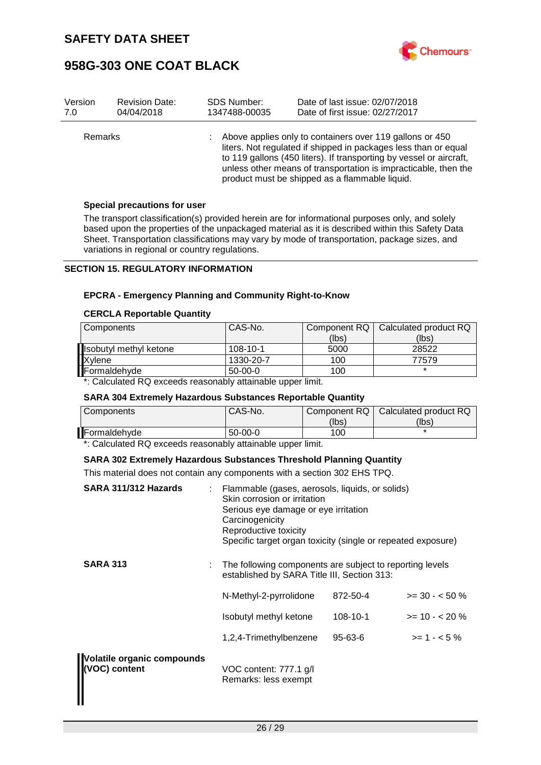

| Version        | <b>Revision Date:</b> | <b>SDS Number:</b> | Date of last issue: 02/07/2018                                                                                                                                                                                                                                                                                          |
|----------------|-----------------------|--------------------|-------------------------------------------------------------------------------------------------------------------------------------------------------------------------------------------------------------------------------------------------------------------------------------------------------------------------|
| 7.0            | 04/04/2018            | 1347488-00035      | Date of first issue: 02/27/2017                                                                                                                                                                                                                                                                                         |
| <b>Remarks</b> |                       |                    | Above applies only to containers over 119 gallons or 450<br>liters. Not regulated if shipped in packages less than or equal<br>to 119 gallons (450 liters). If transporting by vessel or aircraft,<br>unless other means of transportation is impracticable, then the<br>product must be shipped as a flammable liquid. |

#### **Special precautions for user**

The transport classification(s) provided herein are for informational purposes only, and solely based upon the properties of the unpackaged material as it is described within this Safety Data Sheet. Transportation classifications may vary by mode of transportation, package sizes, and variations in regional or country regulations.

#### **SECTION 15. REGULATORY INFORMATION**

#### **EPCRA - Emergency Planning and Community Right-to-Know**

#### **CERCLA Reportable Quantity**

| Components              | CAS-No.        | Component RQ | Calculated product RQ |
|-------------------------|----------------|--------------|-----------------------|
|                         |                | (lbs)        | (lbs)                 |
| Hisobutyl methyl ketone | $108 - 10 - 1$ | 5000         | 28522                 |
| Xylene                  | 1330-20-7      | 100          | 77579                 |
| Formaldehyde            | $50-00-0$      | 100          |                       |

\*: Calculated RQ exceeds reasonably attainable upper limit.

#### **SARA 304 Extremely Hazardous Substances Reportable Quantity**

| Components                                                       | CAS-No.   | Component RQ  <br>(lbs) | Calculated product RQ<br>(lbs) |
|------------------------------------------------------------------|-----------|-------------------------|--------------------------------|
| <b>Formaldehvde</b>                                              | $50-00-0$ | 100                     |                                |
| $\star$ . Celeulated DO avaaade raasaasku attainakla unnar limit |           |                         |                                |

\*: Calculated RQ exceeds reasonably attainable upper limit.

#### **SARA 302 Extremely Hazardous Substances Threshold Planning Quantity**

This material does not contain any components with a section 302 EHS TPQ.

| SARA 311/312 Hazards                        | Flammable (gases, aerosols, liquids, or solids)<br>Skin corrosion or irritation<br>Serious eye damage or eye irritation<br>Carcinogenicity<br>Reproductive toxicity<br>Specific target organ toxicity (single or repeated exposure) |          |                    |
|---------------------------------------------|-------------------------------------------------------------------------------------------------------------------------------------------------------------------------------------------------------------------------------------|----------|--------------------|
| <b>SARA 313</b>                             | The following components are subject to reporting levels<br>established by SARA Title III, Section 313:                                                                                                                             |          |                    |
|                                             | N-Methyl-2-pyrrolidone                                                                                                                                                                                                              | 872-50-4 | $>=$ 30 - $<$ 50 % |
|                                             | Isobutyl methyl ketone                                                                                                                                                                                                              | 108-10-1 | $>= 10 - 20%$      |
|                                             | 1,2,4-Trimethylbenzene                                                                                                                                                                                                              | 95-63-6  | $>= 1 - 5\%$       |
| Volatile organic compounds<br>(VOC) content | VOC content: 777.1 g/l<br>Remarks: less exempt                                                                                                                                                                                      |          |                    |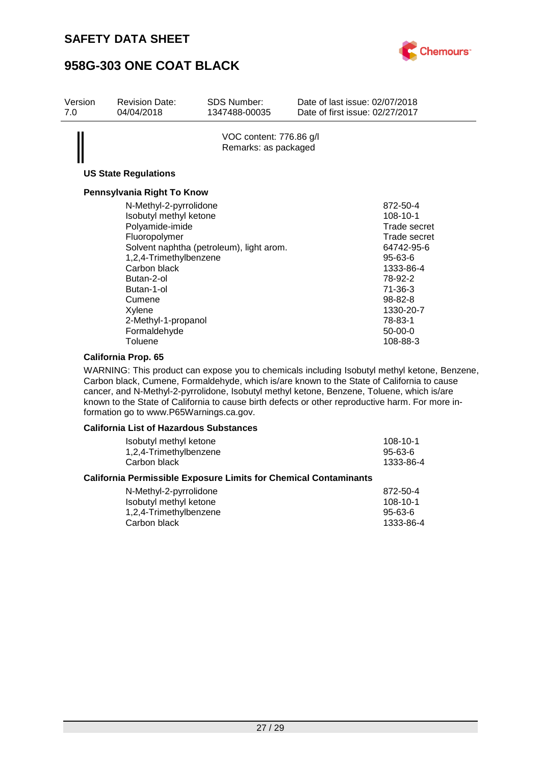

| Version<br>7.0 | <b>Revision Date:</b><br>04/04/2018                                                                                                                                                                                              | SDS Number:<br>1347488-00035                    | Date of last issue: 02/07/2018<br>Date of first issue: 02/27/2017 |                                                                                                                                                                                                |
|----------------|----------------------------------------------------------------------------------------------------------------------------------------------------------------------------------------------------------------------------------|-------------------------------------------------|-------------------------------------------------------------------|------------------------------------------------------------------------------------------------------------------------------------------------------------------------------------------------|
|                | <b>US State Regulations</b>                                                                                                                                                                                                      | VOC content: 776.86 g/l<br>Remarks: as packaged |                                                                   |                                                                                                                                                                                                |
|                | Pennsylvania Right To Know                                                                                                                                                                                                       |                                                 |                                                                   |                                                                                                                                                                                                |
|                | N-Methyl-2-pyrrolidone<br>Isobutyl methyl ketone<br>Polyamide-imide<br>Fluoropolymer<br>1,2,4-Trimethylbenzene<br>Carbon black<br>Butan-2-ol<br>Butan-1-ol<br>Cumene<br>Xylene<br>2-Methyl-1-propanol<br>Formaldehyde<br>Toluene | Solvent naphtha (petroleum), light arom.        |                                                                   | 872-50-4<br>$108 - 10 - 1$<br>Trade secret<br>Trade secret<br>64742-95-6<br>$95 - 63 - 6$<br>1333-86-4<br>78-92-2<br>71-36-3<br>$98 - 82 - 8$<br>1330-20-7<br>78-83-1<br>$50-00-0$<br>108-88-3 |

#### **California Prop. 65**

WARNING: This product can expose you to chemicals including Isobutyl methyl ketone, Benzene, Carbon black, Cumene, Formaldehyde, which is/are known to the State of California to cause cancer, and N-Methyl-2-pyrrolidone, Isobutyl methyl ketone, Benzene, Toluene, which is/are known to the State of California to cause birth defects or other reproductive harm. For more information go to www.P65Warnings.ca.gov.

#### **California List of Hazardous Substances**

| Isobutyl methyl ketone                                                  | 108-10-1       |
|-------------------------------------------------------------------------|----------------|
| 1,2,4-Trimethylbenzene                                                  | $95 - 63 - 6$  |
| Carbon black                                                            | 1333-86-4      |
| <b>California Permissible Exposure Limits for Chemical Contaminants</b> |                |
| N-Methyl-2-pyrrolidone                                                  | 872-50-4       |
| lsobutyl methyl ketone                                                  | $108 - 10 - 1$ |

| .<br>Isobutyl methyl ketone | $108 - 10 - 1$ |
|-----------------------------|----------------|
| 1,2,4-Trimethylbenzene      | $95 - 63 - 6$  |
| Carbon black                | 1333-86-4      |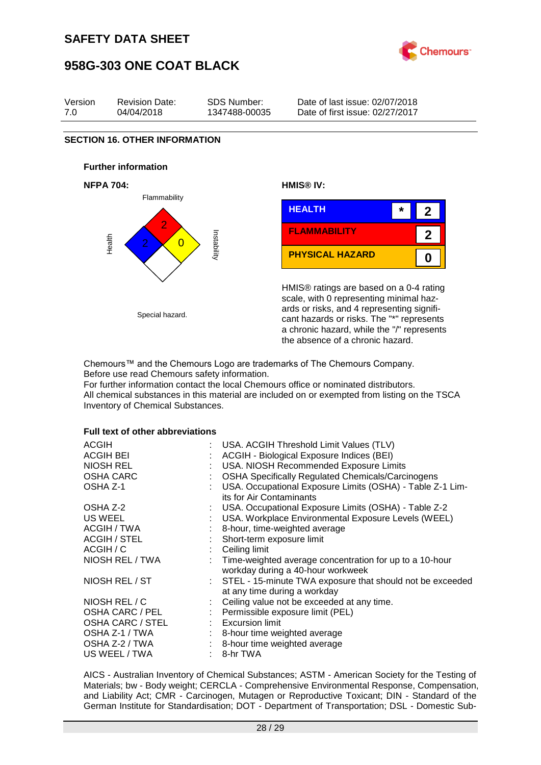



HMIS® ratings are based on a 0-4 rating scale, with 0 representing minimal hazards or risks, and 4 representing significant hazards or risks. The "\*" represents a chronic hazard, while the "/" represents the absence of a chronic hazard.

Chemours™ and the Chemours Logo are trademarks of The Chemours Company. Before use read Chemours safety information.

For further information contact the local Chemours office or nominated distributors. All chemical substances in this material are included on or exempted from listing on the TSCA Inventory of Chemical Substances.

#### **Full text of other abbreviations**

Special hazard.

| <b>ACGIH</b>            | USA. ACGIH Threshold Limit Values (TLV)                                                        |
|-------------------------|------------------------------------------------------------------------------------------------|
| <b>ACGIH BEI</b>        | ACGIH - Biological Exposure Indices (BEI)                                                      |
| NIOSH REL               | USA. NIOSH Recommended Exposure Limits                                                         |
| <b>OSHA CARC</b>        | <b>OSHA Specifically Regulated Chemicals/Carcinogens</b>                                       |
| OSHA Z-1                | USA. Occupational Exposure Limits (OSHA) - Table Z-1 Lim-<br>its for Air Contaminants          |
| OSHA Z-2                | USA. Occupational Exposure Limits (OSHA) - Table Z-2                                           |
| US WEEL                 | USA. Workplace Environmental Exposure Levels (WEEL)                                            |
| ACGIH / TWA             | 8-hour, time-weighted average                                                                  |
| ACGIH / STEL            | Short-term exposure limit                                                                      |
| ACGIH / C               | Ceiling limit                                                                                  |
| NIOSH REL / TWA         | : Time-weighted average concentration for up to a 10-hour<br>workday during a 40-hour workweek |
| NIOSH REL / ST          | : STEL - 15-minute TWA exposure that should not be exceeded<br>at any time during a workday    |
| NIOSH REL / C           | Ceiling value not be exceeded at any time.                                                     |
| OSHA CARC / PEL         | : Permissible exposure limit (PEL)                                                             |
| <b>OSHA CARC / STEL</b> | $:$ Excursion limit                                                                            |
| OSHA Z-1 / TWA          | : 8-hour time weighted average                                                                 |
| OSHA Z-2 / TWA          | : 8-hour time weighted average                                                                 |
| US WEEL / TWA           | 8-hr TWA                                                                                       |

AICS - Australian Inventory of Chemical Substances; ASTM - American Society for the Testing of Materials; bw - Body weight; CERCLA - Comprehensive Environmental Response, Compensation, and Liability Act; CMR - Carcinogen, Mutagen or Reproductive Toxicant; DIN - Standard of the German Institute for Standardisation; DOT - Department of Transportation; DSL - Domestic Sub-